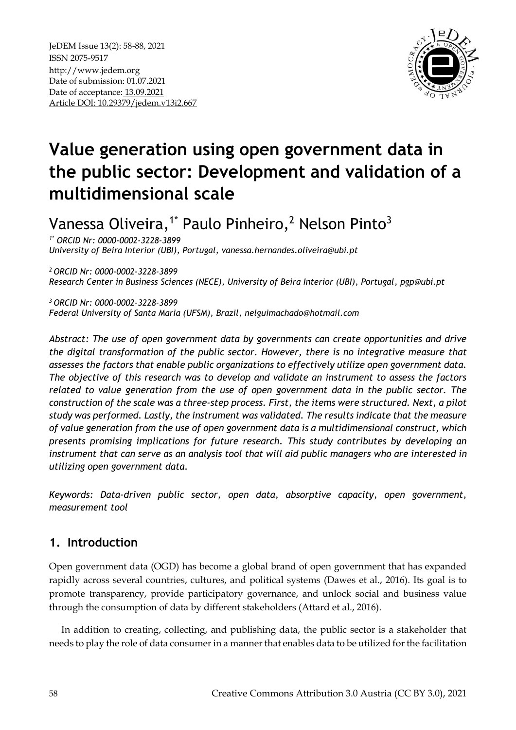

# **Value generation using open government data in the public sector: Development and validation of a multidimensional scale**

Vanessa Oliveira,<sup>1\*</sup> Paulo Pinheiro,<sup>2</sup> Nelson Pinto<sup>3</sup>

*1\* ORCID Nr: 0000-0002-3228-3899 University of Beira Interior (UBI), Portugal, vanessa.hernandes.oliveira@ubi.pt*

*<sup>2</sup>ORCID Nr: 0000-0002-3228-3899 Research Center in Business Sciences (NECE), University of Beira Interior (UBI), Portugal, [pgp@ubi.pt](mailto:pgp@ubi.pt)*

*<sup>3</sup>ORCID Nr: 0000-0002-3228-3899 Federal University of Santa Maria (UFSM), Brazil, [nelguimachado@hotmail.com](mailto:nelguimachado@hotmail.com)*

*Abstract: The use of open government data by governments can create opportunities and drive the digital transformation of the public sector. However, there is no integrative measure that assesses the factors that enable public organizations to effectively utilize open government data. The objective of this research was to develop and validate an instrument to assess the factors related to value generation from the use of open government data in the public sector. The construction of the scale was a three-step process. First, the items were structured. Next, a pilot study was performed. Lastly, the instrument was validated. The results indicate that the measure of value generation from the use of open government data is a multidimensional construct, which presents promising implications for future research. This study contributes by developing an instrument that can serve as an analysis tool that will aid public managers who are interested in utilizing open government data.*

*Keywords: Data-driven public sector, open data, absorptive capacity, open government, measurement tool*

# **1. Introduction**

Open government data (OGD) has become a global brand of open government that has expanded rapidly across several countries, cultures, and political systems (Dawes et al., 2016). Its goal is to promote transparency, provide participatory governance, and unlock social and business value through the consumption of data by different stakeholders (Attard et al., 2016).

In addition to creating, collecting, and publishing data, the public sector is a stakeholder that needs to play the role of data consumer in a manner that enables data to be utilized for the facilitation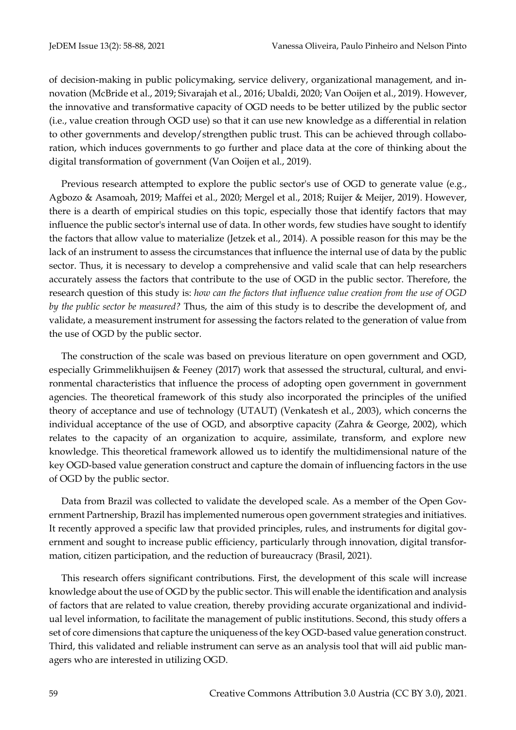of decision-making in public policymaking, service delivery, organizational management, and innovation (McBride et al., 2019; Sivarajah et al., 2016; Ubaldi, 2020; Van Ooijen et al., 2019). However, the innovative and transformative capacity of OGD needs to be better utilized by the public sector (i.e., value creation through OGD use) so that it can use new knowledge as a differential in relation to other governments and develop/strengthen public trust. This can be achieved through collaboration, which induces governments to go further and place data at the core of thinking about the digital transformation of government (Van Ooijen et al., 2019).

Previous research attempted to explore the public sector's use of OGD to generate value (e.g., Agbozo & Asamoah, 2019; Maffei et al., 2020; Mergel et al., 2018; Ruijer & Meijer, 2019). However, there is a dearth of empirical studies on this topic, especially those that identify factors that may influence the public sector's internal use of data. In other words, few studies have sought to identify the factors that allow value to materialize (Jetzek et al., 2014). A possible reason for this may be the lack of an instrument to assess the circumstances that influence the internal use of data by the public sector. Thus, it is necessary to develop a comprehensive and valid scale that can help researchers accurately assess the factors that contribute to the use of OGD in the public sector. Therefore, the research question of this study is: *how can the factors that influence value creation from the use of OGD by the public sector be measured?* Thus, the aim of this study is to describe the development of, and validate, a measurement instrument for assessing the factors related to the generation of value from the use of OGD by the public sector.

The construction of the scale was based on previous literature on open government and OGD, especially Grimmelikhuijsen & Feeney (2017) work that assessed the structural, cultural, and environmental characteristics that influence the process of adopting open government in government agencies. The theoretical framework of this study also incorporated the principles of the unified theory of acceptance and use of technology (UTAUT) (Venkatesh et al., 2003), which concerns the individual acceptance of the use of OGD, and absorptive capacity (Zahra & George, 2002), which relates to the capacity of an organization to acquire, assimilate, transform, and explore new knowledge. This theoretical framework allowed us to identify the multidimensional nature of the key OGD-based value generation construct and capture the domain of influencing factors in the use of OGD by the public sector.

Data from Brazil was collected to validate the developed scale. As a member of the Open Government Partnership, Brazil has implemented numerous open government strategies and initiatives. It recently approved a specific law that provided principles, rules, and instruments for digital government and sought to increase public efficiency, particularly through innovation, digital transformation, citizen participation, and the reduction of bureaucracy (Brasil, 2021).

This research offers significant contributions. First, the development of this scale will increase knowledge about the use of OGD by the public sector. This will enable the identification and analysis of factors that are related to value creation, thereby providing accurate organizational and individual level information, to facilitate the management of public institutions. Second, this study offers a set of core dimensions that capture the uniqueness of the key OGD-based value generation construct. Third, this validated and reliable instrument can serve as an analysis tool that will aid public managers who are interested in utilizing OGD.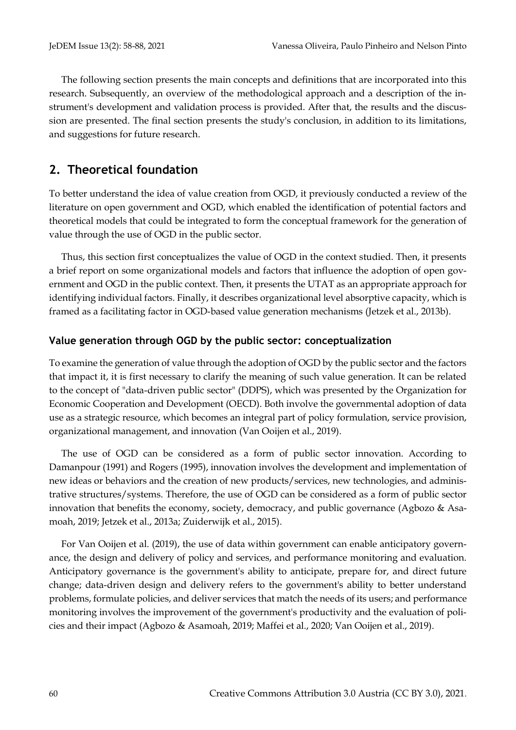The following section presents the main concepts and definitions that are incorporated into this research. Subsequently, an overview of the methodological approach and a description of the instrument's development and validation process is provided. After that, the results and the discussion are presented. The final section presents the study's conclusion, in addition to its limitations, and suggestions for future research.

# **2. Theoretical foundation**

To better understand the idea of value creation from OGD, it previously conducted a review of the literature on open government and OGD, which enabled the identification of potential factors and theoretical models that could be integrated to form the conceptual framework for the generation of value through the use of OGD in the public sector.

Thus, this section first conceptualizes the value of OGD in the context studied. Then, it presents a brief report on some organizational models and factors that influence the adoption of open government and OGD in the public context. Then, it presents the UTAT as an appropriate approach for identifying individual factors. Finally, it describes organizational level absorptive capacity, which is framed as a facilitating factor in OGD-based value generation mechanisms (Jetzek et al., 2013b).

#### **Value generation through OGD by the public sector: conceptualization**

To examine the generation of value through the adoption of OGD by the public sector and the factors that impact it, it is first necessary to clarify the meaning of such value generation. It can be related to the concept of "data-driven public sector" (DDPS), which was presented by the Organization for Economic Cooperation and Development (OECD). Both involve the governmental adoption of data use as a strategic resource, which becomes an integral part of policy formulation, service provision, organizational management, and innovation (Van Ooijen et al., 2019).

The use of OGD can be considered as a form of public sector innovation. According to Damanpour (1991) and Rogers (1995), innovation involves the development and implementation of new ideas or behaviors and the creation of new products/services, new technologies, and administrative structures/systems. Therefore, the use of OGD can be considered as a form of public sector innovation that benefits the economy, society, democracy, and public governance (Agbozo & Asamoah, 2019; Jetzek et al., 2013a; Zuiderwijk et al., 2015).

For Van Ooijen et al. (2019), the use of data within government can enable anticipatory governance, the design and delivery of policy and services, and performance monitoring and evaluation. Anticipatory governance is the government's ability to anticipate, prepare for, and direct future change; data-driven design and delivery refers to the government's ability to better understand problems, formulate policies, and deliver services that match the needs of its users; and performance monitoring involves the improvement of the government's productivity and the evaluation of policies and their impact (Agbozo & Asamoah, 2019; Maffei et al., 2020; Van Ooijen et al., 2019).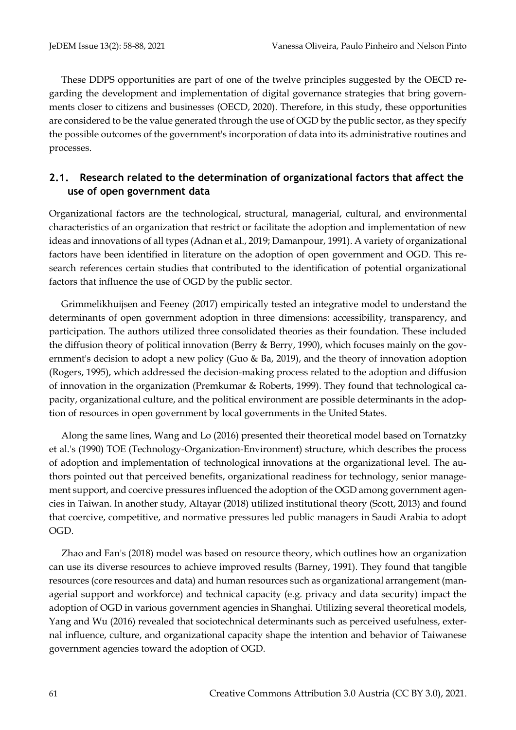These DDPS opportunities are part of one of the twelve principles suggested by the OECD regarding the development and implementation of digital governance strategies that bring governments closer to citizens and businesses (OECD, 2020). Therefore, in this study, these opportunities are considered to be the value generated through the use of OGD by the public sector, as they specify the possible outcomes of the government's incorporation of data into its administrative routines and processes.

## **2.1. Research related to the determination of organizational factors that affect the use of open government data**

Organizational factors are the technological, structural, managerial, cultural, and environmental characteristics of an organization that restrict or facilitate the adoption and implementation of new ideas and innovations of all types (Adnan et al., 2019; Damanpour, 1991). A variety of organizational factors have been identified in literature on the adoption of open government and OGD. This research references certain studies that contributed to the identification of potential organizational factors that influence the use of OGD by the public sector.

Grimmelikhuijsen and Feeney (2017) empirically tested an integrative model to understand the determinants of open government adoption in three dimensions: accessibility, transparency, and participation. The authors utilized three consolidated theories as their foundation. These included the diffusion theory of political innovation (Berry & Berry, 1990), which focuses mainly on the government's decision to adopt a new policy (Guo & Ba, 2019), and the theory of innovation adoption (Rogers, 1995), which addressed the decision-making process related to the adoption and diffusion of innovation in the organization (Premkumar & Roberts, 1999). They found that technological capacity, organizational culture, and the political environment are possible determinants in the adoption of resources in open government by local governments in the United States.

Along the same lines, Wang and Lo (2016) presented their theoretical model based on Tornatzky et al.'s (1990) TOE (Technology-Organization-Environment) structure, which describes the process of adoption and implementation of technological innovations at the organizational level. The authors pointed out that perceived benefits, organizational readiness for technology, senior management support, and coercive pressures influenced the adoption of the OGD among government agencies in Taiwan. In another study, Altayar (2018) utilized institutional theory (Scott, 2013) and found that coercive, competitive, and normative pressures led public managers in Saudi Arabia to adopt OGD.

Zhao and Fan's (2018) model was based on resource theory, which outlines how an organization can use its diverse resources to achieve improved results (Barney, 1991). They found that tangible resources (core resources and data) and human resources such as organizational arrangement (managerial support and workforce) and technical capacity (e.g. privacy and data security) impact the adoption of OGD in various government agencies in Shanghai. Utilizing several theoretical models, Yang and Wu (2016) revealed that sociotechnical determinants such as perceived usefulness, external influence, culture, and organizational capacity shape the intention and behavior of Taiwanese government agencies toward the adoption of OGD.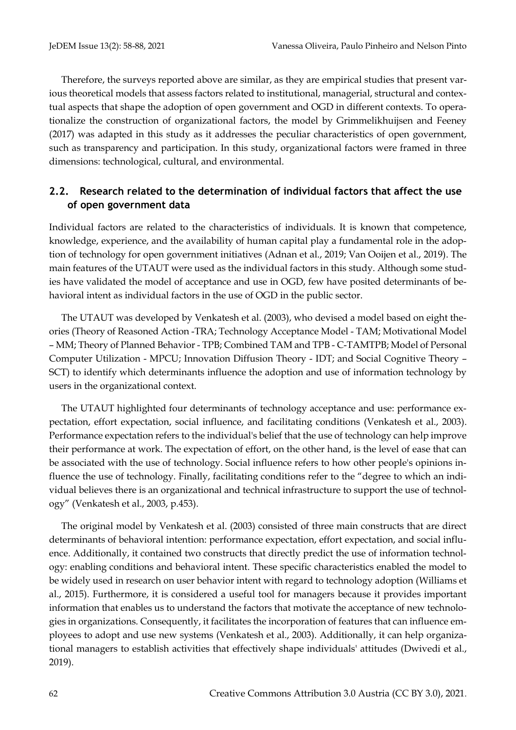Therefore, the surveys reported above are similar, as they are empirical studies that present various theoretical models that assess factors related to institutional, managerial, structural and contextual aspects that shape the adoption of open government and OGD in different contexts. To operationalize the construction of organizational factors, the model by Grimmelikhuijsen and Feeney (2017) was adapted in this study as it addresses the peculiar characteristics of open government, such as transparency and participation. In this study, organizational factors were framed in three dimensions: technological, cultural, and environmental.

## **2.2. Research related to the determination of individual factors that affect the use of open government data**

Individual factors are related to the characteristics of individuals. It is known that competence, knowledge, experience, and the availability of human capital play a fundamental role in the adoption of technology for open government initiatives (Adnan et al., 2019; Van Ooijen et al., 2019). The main features of the UTAUT were used as the individual factors in this study. Although some studies have validated the model of acceptance and use in OGD, few have posited determinants of behavioral intent as individual factors in the use of OGD in the public sector.

The UTAUT was developed by Venkatesh et al. (2003), who devised a model based on eight theories (Theory of Reasoned Action -TRA; Technology Acceptance Model - TAM; Motivational Model – MM; Theory of Planned Behavior - TPB; Combined TAM and TPB - C-TAMTPB; Model of Personal Computer Utilization - MPCU; Innovation Diffusion Theory - IDT; and Social Cognitive Theory – SCT) to identify which determinants influence the adoption and use of information technology by users in the organizational context.

The UTAUT highlighted four determinants of technology acceptance and use: performance expectation, effort expectation, social influence, and facilitating conditions (Venkatesh et al., 2003). Performance expectation refers to the individual's belief that the use of technology can help improve their performance at work. The expectation of effort, on the other hand, is the level of ease that can be associated with the use of technology. Social influence refers to how other people's opinions influence the use of technology. Finally, facilitating conditions refer to the "degree to which an individual believes there is an organizational and technical infrastructure to support the use of technology" (Venkatesh et al., 2003, p.453).

The original model by Venkatesh et al. (2003) consisted of three main constructs that are direct determinants of behavioral intention: performance expectation, effort expectation, and social influence. Additionally, it contained two constructs that directly predict the use of information technology: enabling conditions and behavioral intent. These specific characteristics enabled the model to be widely used in research on user behavior intent with regard to technology adoption (Williams et al., 2015). Furthermore, it is considered a useful tool for managers because it provides important information that enables us to understand the factors that motivate the acceptance of new technologies in organizations. Consequently, it facilitates the incorporation of features that can influence employees to adopt and use new systems (Venkatesh et al., 2003). Additionally, it can help organizational managers to establish activities that effectively shape individuals' attitudes (Dwivedi et al., 2019).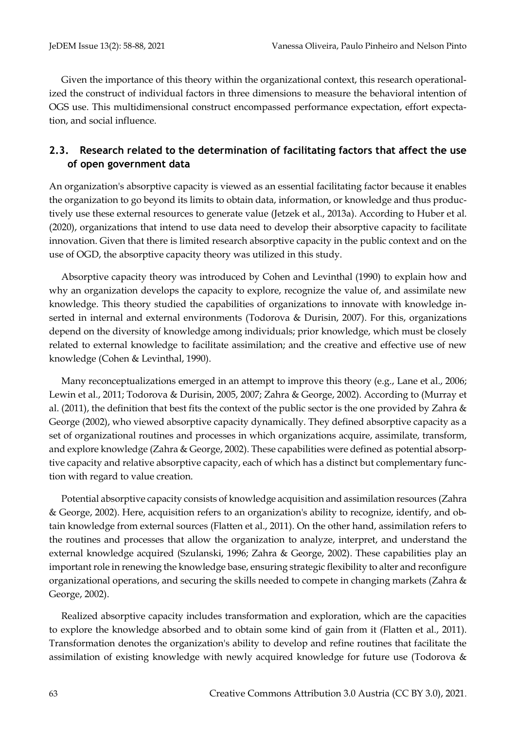Given the importance of this theory within the organizational context, this research operationalized the construct of individual factors in three dimensions to measure the behavioral intention of OGS use. This multidimensional construct encompassed performance expectation, effort expectation, and social influence.

## **2.3. Research related to the determination of facilitating factors that affect the use of open government data**

An organization's absorptive capacity is viewed as an essential facilitating factor because it enables the organization to go beyond its limits to obtain data, information, or knowledge and thus productively use these external resources to generate value (Jetzek et al., 2013a). According to Huber et al. (2020), organizations that intend to use data need to develop their absorptive capacity to facilitate innovation. Given that there is limited research absorptive capacity in the public context and on the use of OGD, the absorptive capacity theory was utilized in this study.

Absorptive capacity theory was introduced by Cohen and Levinthal (1990) to explain how and why an organization develops the capacity to explore, recognize the value of, and assimilate new knowledge. This theory studied the capabilities of organizations to innovate with knowledge inserted in internal and external environments (Todorova & Durisin, 2007). For this, organizations depend on the diversity of knowledge among individuals; prior knowledge, which must be closely related to external knowledge to facilitate assimilation; and the creative and effective use of new knowledge (Cohen & Levinthal, 1990).

Many reconceptualizations emerged in an attempt to improve this theory (e.g., Lane et al., 2006; Lewin et al., 2011; Todorova & Durisin, 2005, 2007; Zahra & George, 2002). According to (Murray et al. (2011), the definition that best fits the context of the public sector is the one provided by Zahra & George (2002), who viewed absorptive capacity dynamically. They defined absorptive capacity as a set of organizational routines and processes in which organizations acquire, assimilate, transform, and explore knowledge (Zahra & George, 2002). These capabilities were defined as potential absorptive capacity and relative absorptive capacity, each of which has a distinct but complementary function with regard to value creation.

Potential absorptive capacity consists of knowledge acquisition and assimilation resources (Zahra & George, 2002). Here, acquisition refers to an organization's ability to recognize, identify, and obtain knowledge from external sources (Flatten et al., 2011). On the other hand, assimilation refers to the routines and processes that allow the organization to analyze, interpret, and understand the external knowledge acquired (Szulanski, 1996; Zahra & George, 2002). These capabilities play an important role in renewing the knowledge base, ensuring strategic flexibility to alter and reconfigure organizational operations, and securing the skills needed to compete in changing markets (Zahra & George, 2002).

Realized absorptive capacity includes transformation and exploration, which are the capacities to explore the knowledge absorbed and to obtain some kind of gain from it (Flatten et al., 2011). Transformation denotes the organization's ability to develop and refine routines that facilitate the assimilation of existing knowledge with newly acquired knowledge for future use (Todorova &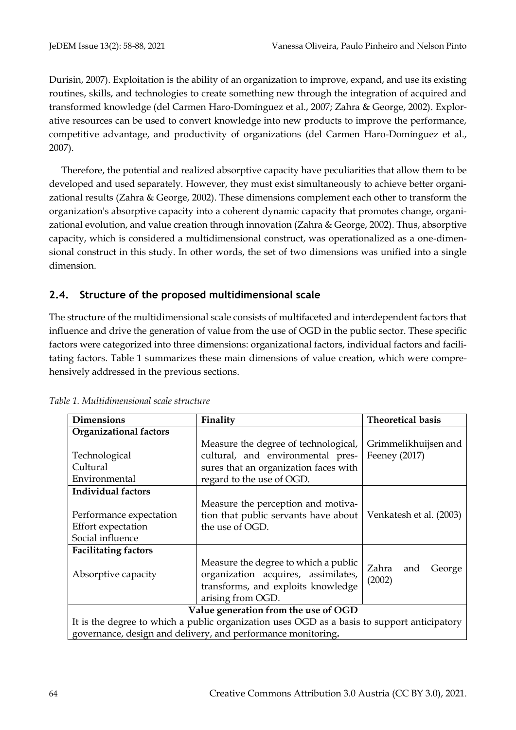Durisin, 2007). Exploitation is the ability of an organization to improve, expand, and use its existing routines, skills, and technologies to create something new through the integration of acquired and transformed knowledge (del Carmen Haro-Domínguez et al., 2007; Zahra & George, 2002). Explorative resources can be used to convert knowledge into new products to improve the performance, competitive advantage, and productivity of organizations (del Carmen Haro-Domínguez et al., 2007).

Therefore, the potential and realized absorptive capacity have peculiarities that allow them to be developed and used separately. However, they must exist simultaneously to achieve better organizational results (Zahra & George, 2002). These dimensions complement each other to transform the organization's absorptive capacity into a coherent dynamic capacity that promotes change, organizational evolution, and value creation through innovation (Zahra & George, 2002). Thus, absorptive capacity, which is considered a multidimensional construct, was operationalized as a one-dimensional construct in this study. In other words, the set of two dimensions was unified into a single dimension.

## **2.4. Structure of the proposed multidimensional scale**

The structure of the multidimensional scale consists of multifaceted and interdependent factors that influence and drive the generation of value from the use of OGD in the public sector. These specific factors were categorized into three dimensions: organizational factors, individual factors and facilitating factors. Table 1 summarizes these main dimensions of value creation, which were comprehensively addressed in the previous sections.

| <b>Dimensions</b>             | Finality                                                                                    | <b>Theoretical basis</b> |  |  |  |  |  |
|-------------------------------|---------------------------------------------------------------------------------------------|--------------------------|--|--|--|--|--|
| <b>Organizational factors</b> |                                                                                             |                          |  |  |  |  |  |
|                               | Measure the degree of technological,                                                        | Grimmelikhuijsen and     |  |  |  |  |  |
| Technological                 | cultural, and environmental pres-                                                           | Feeney (2017)            |  |  |  |  |  |
| Cultural                      | sures that an organization faces with                                                       |                          |  |  |  |  |  |
| Environmental                 | regard to the use of OGD.                                                                   |                          |  |  |  |  |  |
| <b>Individual factors</b>     |                                                                                             |                          |  |  |  |  |  |
|                               | Measure the perception and motiva-                                                          |                          |  |  |  |  |  |
| Performance expectation       | tion that public servants have about                                                        | Venkatesh et al. (2003)  |  |  |  |  |  |
| Effort expectation            | the use of OGD.                                                                             |                          |  |  |  |  |  |
| Social influence              |                                                                                             |                          |  |  |  |  |  |
| <b>Facilitating factors</b>   |                                                                                             |                          |  |  |  |  |  |
|                               | Measure the degree to which a public                                                        | Zahra<br>and             |  |  |  |  |  |
| Absorptive capacity           | organization acquires, assimilates,                                                         | George<br>(2002)         |  |  |  |  |  |
|                               | transforms, and exploits knowledge                                                          |                          |  |  |  |  |  |
|                               | arising from OGD.                                                                           |                          |  |  |  |  |  |
|                               | Value generation from the use of OGD                                                        |                          |  |  |  |  |  |
|                               | It is the degree to which a public organization uses OGD as a basis to support anticipatory |                          |  |  |  |  |  |
|                               | governance, design and delivery, and performance monitoring.                                |                          |  |  |  |  |  |

*Table 1. Multidimensional scale structure*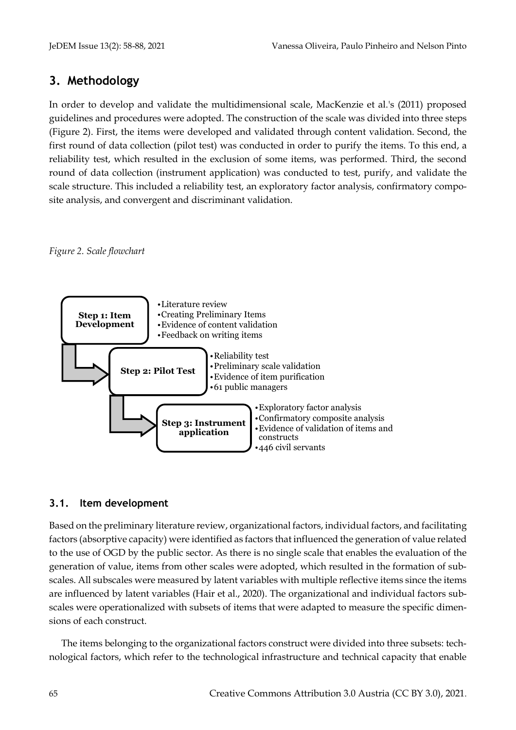# **3. Methodology**

In order to develop and validate the multidimensional scale, MacKenzie et al.'s (2011) proposed guidelines and procedures were adopted. The construction of the scale was divided into three steps (Figure 2). First, the items were developed and validated through content validation. Second, the first round of data collection (pilot test) was conducted in order to purify the items. To this end, a reliability test, which resulted in the exclusion of some items, was performed. Third, the second round of data collection (instrument application) was conducted to test, purify, and validate the scale structure. This included a reliability test, an exploratory factor analysis, confirmatory composite analysis, and convergent and discriminant validation.





## **3.1. Item development**

Based on the preliminary literature review, organizational factors, individual factors, and facilitating factors (absorptive capacity) were identified as factors that influenced the generation of value related to the use of OGD by the public sector. As there is no single scale that enables the evaluation of the generation of value, items from other scales were adopted, which resulted in the formation of subscales. All subscales were measured by latent variables with multiple reflective items since the items are influenced by latent variables (Hair et al., 2020). The organizational and individual factors subscales were operationalized with subsets of items that were adapted to measure the specific dimensions of each construct.

The items belonging to the organizational factors construct were divided into three subsets: technological factors, which refer to the technological infrastructure and technical capacity that enable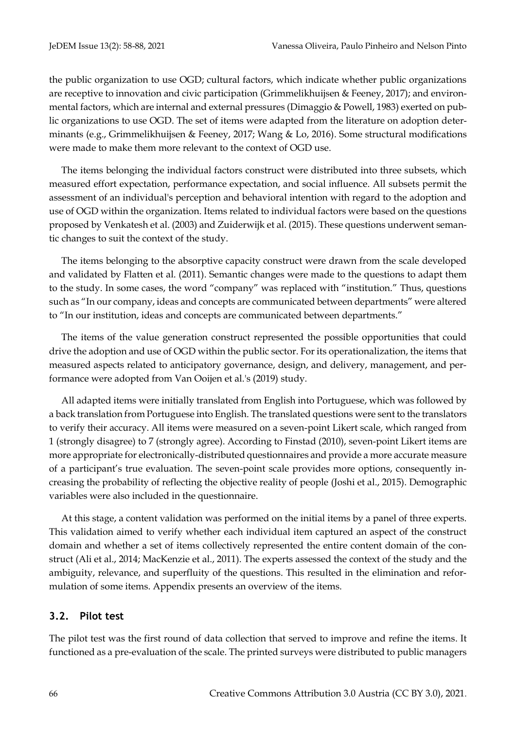the public organization to use OGD; cultural factors, which indicate whether public organizations are receptive to innovation and civic participation (Grimmelikhuijsen & Feeney, 2017); and environmental factors, which are internal and external pressures (Dimaggio & Powell, 1983) exerted on public organizations to use OGD. The set of items were adapted from the literature on adoption determinants (e.g., Grimmelikhuijsen & Feeney, 2017; Wang & Lo, 2016). Some structural modifications were made to make them more relevant to the context of OGD use.

The items belonging the individual factors construct were distributed into three subsets, which measured effort expectation, performance expectation, and social influence. All subsets permit the assessment of an individual's perception and behavioral intention with regard to the adoption and use of OGD within the organization. Items related to individual factors were based on the questions proposed by Venkatesh et al. (2003) and Zuiderwijk et al. (2015). These questions underwent semantic changes to suit the context of the study.

The items belonging to the absorptive capacity construct were drawn from the scale developed and validated by Flatten et al. (2011). Semantic changes were made to the questions to adapt them to the study. In some cases, the word "company" was replaced with "institution." Thus, questions such as "In our company, ideas and concepts are communicated between departments" were altered to "In our institution, ideas and concepts are communicated between departments."

The items of the value generation construct represented the possible opportunities that could drive the adoption and use of OGD within the public sector. For its operationalization, the items that measured aspects related to anticipatory governance, design, and delivery, management, and performance were adopted from Van Ooijen et al.'s (2019) study.

All adapted items were initially translated from English into Portuguese, which was followed by a back translation from Portuguese into English. The translated questions were sent to the translators to verify their accuracy. All items were measured on a seven-point Likert scale, which ranged from 1 (strongly disagree) to 7 (strongly agree). According to Finstad (2010), seven-point Likert items are more appropriate for electronically-distributed questionnaires and provide a more accurate measure of a participant's true evaluation. The seven-point scale provides more options, consequently increasing the probability of reflecting the objective reality of people (Joshi et al., 2015). Demographic variables were also included in the questionnaire.

At this stage, a content validation was performed on the initial items by a panel of three experts. This validation aimed to verify whether each individual item captured an aspect of the construct domain and whether a set of items collectively represented the entire content domain of the construct (Ali et al., 2014; MacKenzie et al., 2011). The experts assessed the context of the study and the ambiguity, relevance, and superfluity of the questions. This resulted in the elimination and reformulation of some items. Appendix presents an overview of the items.

#### **3.2. Pilot test**

The pilot test was the first round of data collection that served to improve and refine the items. It functioned as a pre-evaluation of the scale. The printed surveys were distributed to public managers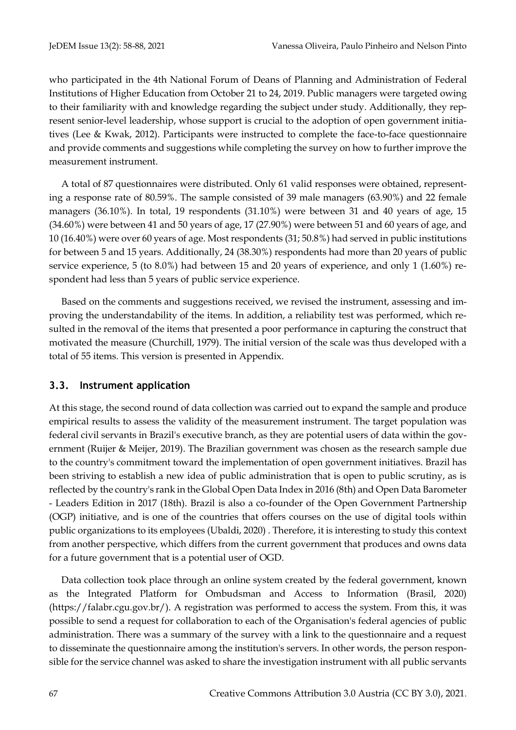who participated in the 4th National Forum of Deans of Planning and Administration of Federal Institutions of Higher Education from October 21 to 24, 2019. Public managers were targeted owing to their familiarity with and knowledge regarding the subject under study. Additionally, they represent senior-level leadership, whose support is crucial to the adoption of open government initiatives (Lee & Kwak, 2012). Participants were instructed to complete the face-to-face questionnaire and provide comments and suggestions while completing the survey on how to further improve the measurement instrument.

A total of 87 questionnaires were distributed. Only 61 valid responses were obtained, representing a response rate of 80.59%. The sample consisted of 39 male managers (63.90%) and 22 female managers (36.10%). In total, 19 respondents (31.10%) were between 31 and 40 years of age, 15 (34.60%) were between 41 and 50 years of age, 17 (27.90%) were between 51 and 60 years of age, and 10 (16.40%) were over 60 years of age. Most respondents (31; 50.8%) had served in public institutions for between 5 and 15 years. Additionally, 24 (38.30%) respondents had more than 20 years of public service experience, 5 (to 8.0%) had between 15 and 20 years of experience, and only 1 (1.60%) respondent had less than 5 years of public service experience.

Based on the comments and suggestions received, we revised the instrument, assessing and improving the understandability of the items. In addition, a reliability test was performed, which resulted in the removal of the items that presented a poor performance in capturing the construct that motivated the measure (Churchill, 1979). The initial version of the scale was thus developed with a total of 55 items. This version is presented in Appendix.

## **3.3. Instrument application**

At this stage, the second round of data collection was carried out to expand the sample and produce empirical results to assess the validity of the measurement instrument. The target population was federal civil servants in Brazil's executive branch, as they are potential users of data within the government (Ruijer & Meijer, 2019). The Brazilian government was chosen as the research sample due to the country's commitment toward the implementation of open government initiatives. Brazil has been striving to establish a new idea of public administration that is open to public scrutiny, as is reflected by the country's rank in the Global Open Data Index in 2016 (8th) and Open Data Barometer - Leaders Edition in 2017 (18th). Brazil is also a co-founder of the Open Government Partnership (OGP) initiative, and is one of the countries that offers courses on the use of digital tools within public organizations to its employees (Ubaldi, 2020) . Therefore, it is interesting to study this context from another perspective, which differs from the current government that produces and owns data for a future government that is a potential user of OGD.

Data collection took place through an online system created by the federal government, known as the Integrated Platform for Ombudsman and Access to Information (Brasil, 2020) (https://falabr.cgu.gov.br/). A registration was performed to access the system. From this, it was possible to send a request for collaboration to each of the Organisation's federal agencies of public administration. There was a summary of the survey with a link to the questionnaire and a request to disseminate the questionnaire among the institution's servers. In other words, the person responsible for the service channel was asked to share the investigation instrument with all public servants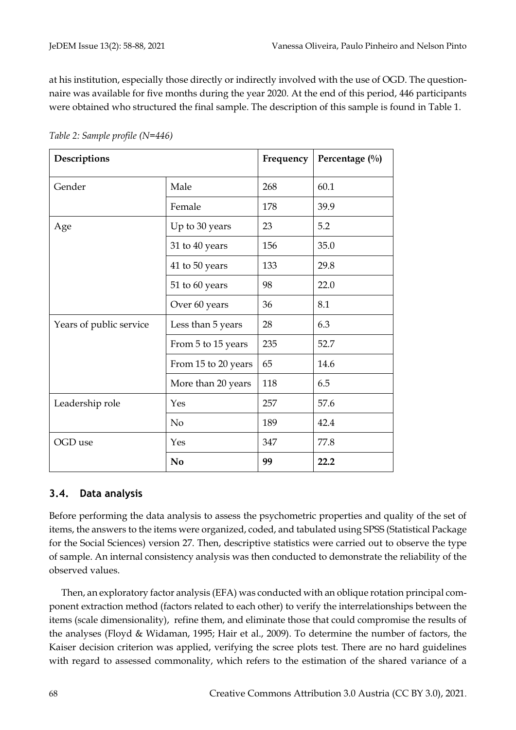at his institution, especially those directly or indirectly involved with the use of OGD. The questionnaire was available for five months during the year 2020. At the end of this period, 446 participants were obtained who structured the final sample. The description of this sample is found in Table 1.

| Descriptions            | Frequency           | Percentage $(\%)$ |      |
|-------------------------|---------------------|-------------------|------|
| Gender                  | Male                | 268               | 60.1 |
|                         | Female              | 178               | 39.9 |
| Age                     | Up to 30 years      | 23                | 5.2  |
|                         | 31 to 40 years      | 156               | 35.0 |
|                         | 41 to 50 years      | 133               | 29.8 |
|                         | 51 to 60 years      | 98                | 22.0 |
|                         | Over 60 years       | 36                | 8.1  |
| Years of public service | Less than 5 years   | 28                | 6.3  |
|                         | From 5 to 15 years  | 235               | 52.7 |
|                         | From 15 to 20 years | 65                | 14.6 |
|                         | More than 20 years  | 118               | 6.5  |
| Leadership role         | Yes                 | 257               | 57.6 |
|                         | N <sub>o</sub>      | 189               | 42.4 |
| OGD use                 | Yes                 | 347               | 77.8 |
|                         | N <sub>0</sub>      | 99                | 22.2 |

*Table 2: Sample profile (N=446)*

#### **3.4. Data analysis**

Before performing the data analysis to assess the psychometric properties and quality of the set of items, the answers to the items were organized, coded, and tabulated using SPSS (Statistical Package for the Social Sciences) version 27. Then, descriptive statistics were carried out to observe the type of sample. An internal consistency analysis was then conducted to demonstrate the reliability of the observed values.

Then, an exploratory factor analysis (EFA) was conducted with an oblique rotation principal component extraction method (factors related to each other) to verify the interrelationships between the items (scale dimensionality), refine them, and eliminate those that could compromise the results of the analyses (Floyd & Widaman, 1995; Hair et al., 2009). To determine the number of factors, the Kaiser decision criterion was applied, verifying the scree plots test. There are no hard guidelines with regard to assessed commonality, which refers to the estimation of the shared variance of a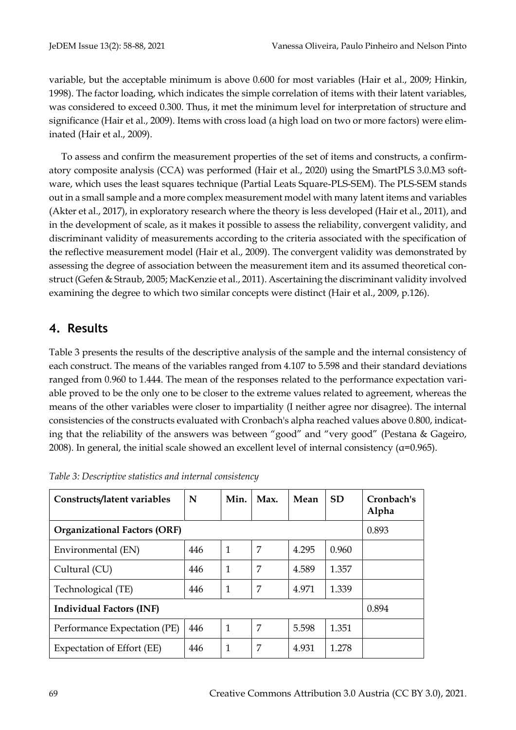variable, but the acceptable minimum is above 0.600 for most variables (Hair et al., 2009; Hinkin, 1998). The factor loading, which indicates the simple correlation of items with their latent variables, was considered to exceed 0.300. Thus, it met the minimum level for interpretation of structure and significance (Hair et al., 2009). Items with cross load (a high load on two or more factors) were eliminated (Hair et al., 2009).

To assess and confirm the measurement properties of the set of items and constructs, a confirmatory composite analysis (CCA) was performed (Hair et al., 2020) using the SmartPLS 3.0.M3 software, which uses the least squares technique (Partial Leats Square-PLS-SEM). The PLS-SEM stands out in a small sample and a more complex measurement model with many latent items and variables (Akter et al., 2017), in exploratory research where the theory is less developed (Hair et al., 2011), and in the development of scale, as it makes it possible to assess the reliability, convergent validity, and discriminant validity of measurements according to the criteria associated with the specification of the reflective measurement model (Hair et al., 2009). The convergent validity was demonstrated by assessing the degree of association between the measurement item and its assumed theoretical construct (Gefen & Straub, 2005; MacKenzie et al., 2011). Ascertaining the discriminant validity involved examining the degree to which two similar concepts were distinct (Hair et al., 2009, p.126).

# **4. Results**

Table 3 presents the results of the descriptive analysis of the sample and the internal consistency of each construct. The means of the variables ranged from 4.107 to 5.598 and their standard deviations ranged from 0.960 to 1.444. The mean of the responses related to the performance expectation variable proved to be the only one to be closer to the extreme values related to agreement, whereas the means of the other variables were closer to impartiality (I neither agree nor disagree). The internal consistencies of the constructs evaluated with Cronbach's alpha reached values above 0.800, indicating that the reliability of the answers was between "good" and "very good" (Pestana & Gageiro, 2008). In general, the initial scale showed an excellent level of internal consistency ( $\alpha$ =0.965).

| Constructs/latent variables         | N     | Min.         | Max. | Mean  | <b>SD</b> | Cronbach's<br>Alpha |
|-------------------------------------|-------|--------------|------|-------|-----------|---------------------|
| <b>Organizational Factors (ORF)</b> | 0.893 |              |      |       |           |                     |
| Environmental (EN)                  | 446   | $\mathbf{1}$ | 7    | 4.295 | 0.960     |                     |
| Cultural (CU)                       | 446   | $\mathbf{1}$ | 7    | 4.589 | 1.357     |                     |
| Technological (TE)                  | 446   | $\mathbf{1}$ | 7    | 4.971 | 1.339     |                     |
| <b>Individual Factors (INF)</b>     |       |              |      |       |           | 0.894               |
| Performance Expectation (PE)        | 446   | $\mathbf{1}$ | 7    | 5.598 | 1.351     |                     |
| Expectation of Effort (EE)          | 446   | $\mathbf{1}$ | 7    | 4.931 | 1.278     |                     |

*Table 3: Descriptive statistics and internal consistency*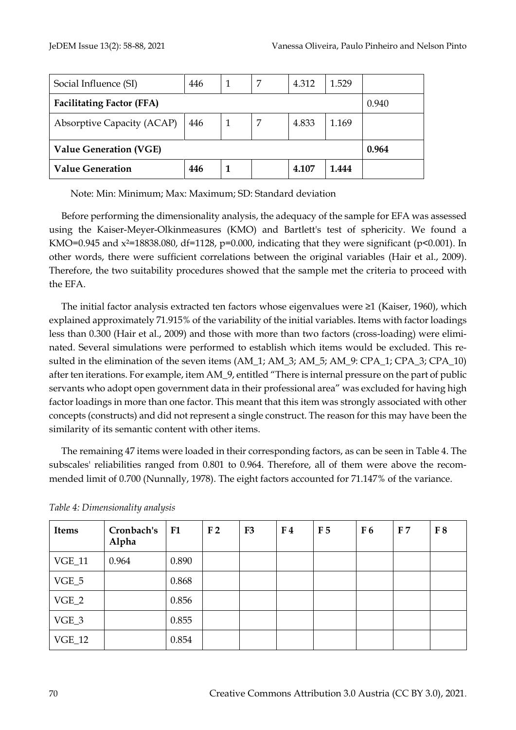| Social Influence (SI)             | 446 |   | 7 | 4.312 | 1.529 |       |
|-----------------------------------|-----|---|---|-------|-------|-------|
| <b>Facilitating Factor (FFA)</b>  |     |   |   |       | 0.940 |       |
| <b>Absorptive Capacity (ACAP)</b> | 446 |   | 7 | 4.833 | 1.169 |       |
| <b>Value Generation (VGE)</b>     |     |   |   |       |       | 0.964 |
| <b>Value Generation</b>           | 446 | 1 |   | 4.107 | 1.444 |       |

Note: Min: Minimum; Max: Maximum; SD: Standard deviation

Before performing the dimensionality analysis, the adequacy of the sample for EFA was assessed using the Kaiser-Meyer-Olkinmeasures (KMO) and Bartlett's test of sphericity. We found a KMO=0.945 and  $x^2$ =18838.080, df=1128, p=0.000, indicating that they were significant (p<0.001). In other words, there were sufficient correlations between the original variables (Hair et al., 2009). Therefore, the two suitability procedures showed that the sample met the criteria to proceed with the EFA.

The initial factor analysis extracted ten factors whose eigenvalues were ≥1 (Kaiser, 1960), which explained approximately 71.915% of the variability of the initial variables. Items with factor loadings less than 0.300 (Hair et al., 2009) and those with more than two factors (cross-loading) were eliminated. Several simulations were performed to establish which items would be excluded. This resulted in the elimination of the seven items (AM\_1; AM\_3; AM\_5; AM\_9: CPA\_1; CPA\_3; CPA\_10) after ten iterations. For example, item AM\_9, entitled "There is internal pressure on the part of public servants who adopt open government data in their professional area" was excluded for having high factor loadings in more than one factor. This meant that this item was strongly associated with other concepts (constructs) and did not represent a single construct. The reason for this may have been the similarity of its semantic content with other items.

The remaining 47 items were loaded in their corresponding factors, as can be seen in Table 4. The subscales' reliabilities ranged from 0.801 to 0.964. Therefore, all of them were above the recommended limit of 0.700 (Nunnally, 1978). The eight factors accounted for 71.147% of the variance.

| <b>Items</b> | Cronbach's<br>Alpha | F1    | F <sub>2</sub> | F <sub>3</sub> | F <sub>4</sub> | F <sub>5</sub> | F <sub>6</sub> | F <sub>7</sub> | F8 |
|--------------|---------------------|-------|----------------|----------------|----------------|----------------|----------------|----------------|----|
| $VGE_11$     | 0.964               | 0.890 |                |                |                |                |                |                |    |
| VGE_5        |                     | 0.868 |                |                |                |                |                |                |    |
| $VGE_2$      |                     | 0.856 |                |                |                |                |                |                |    |
| $VGE_3$      |                     | 0.855 |                |                |                |                |                |                |    |
| $VGE_12$     |                     | 0.854 |                |                |                |                |                |                |    |

*Table 4: Dimensionality analysis*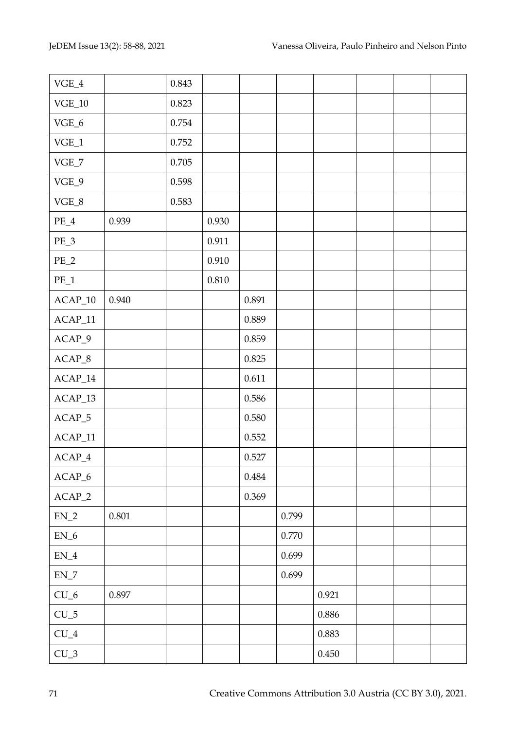| $\ensuremath{\text{VGE\_4}}$                        |       | 0.843 |           |           |       |           |  |  |
|-----------------------------------------------------|-------|-------|-----------|-----------|-------|-----------|--|--|
| $\rm VGE\_10$                                       |       | 0.823 |           |           |       |           |  |  |
| $\ensuremath{\text{VGE\_6}}$                        |       | 0.754 |           |           |       |           |  |  |
| $\ensuremath{\text{VGE}\xspace}\xspace_\mathsf{-1}$ |       | 0.752 |           |           |       |           |  |  |
| $\ensuremath{\text{VGE\_7}}$                        |       | 0.705 |           |           |       |           |  |  |
| $VGE_9$                                             |       | 0.598 |           |           |       |           |  |  |
| $\ensuremath{\text{VGE\_8}}$                        |       | 0.583 |           |           |       |           |  |  |
| $PE_4$                                              | 0.939 |       | 0.930     |           |       |           |  |  |
| $PE_3$                                              |       |       | 0.911     |           |       |           |  |  |
| $PE_2$                                              |       |       | $0.910\,$ |           |       |           |  |  |
| $PE\_1$                                             |       |       | $0.810\,$ |           |       |           |  |  |
| $\text{ACAP\_10}$                                   | 0.940 |       |           | 0.891     |       |           |  |  |
| $ACAP_11$                                           |       |       |           | 0.889     |       |           |  |  |
| $ACAP_9$                                            |       |       |           | 0.859     |       |           |  |  |
| $\text{ACAP\_8}$                                    |       |       |           | 0.825     |       |           |  |  |
| $ACAP_14$                                           |       |       |           | 0.611     |       |           |  |  |
| $ACAP_13$                                           |       |       |           | 0.586     |       |           |  |  |
| $ACAP_5$                                            |       |       |           | $0.580\,$ |       |           |  |  |
| $ACAP_11$                                           |       |       |           | 0.552     |       |           |  |  |
| $ACAP_4$                                            |       |       |           | 0.527     |       |           |  |  |
| $\text{ACAP\_6}$                                    |       |       |           | 0.484     |       |           |  |  |
| $ACAP_2$                                            |       |       |           | 0.369     |       |           |  |  |
| $\mathrm{EN}\_2$                                    | 0.801 |       |           |           | 0.799 |           |  |  |
| $\mathsf{EN\_6}$                                    |       |       |           |           | 0.770 |           |  |  |
| $\mathrm{EN}\_{4}$                                  |       |       |           |           | 0.699 |           |  |  |
| $\mathsf{EN\_7}$                                    |       |       |           |           | 0.699 |           |  |  |
| $CU_6$                                              | 0.897 |       |           |           |       | 0.921     |  |  |
| $CU_5$                                              |       |       |           |           |       | $0.886\,$ |  |  |
| ${\rm CU}\_{4}$                                     |       |       |           |           |       | 0.883     |  |  |
| $CU_3$                                              |       |       |           |           |       | 0.450     |  |  |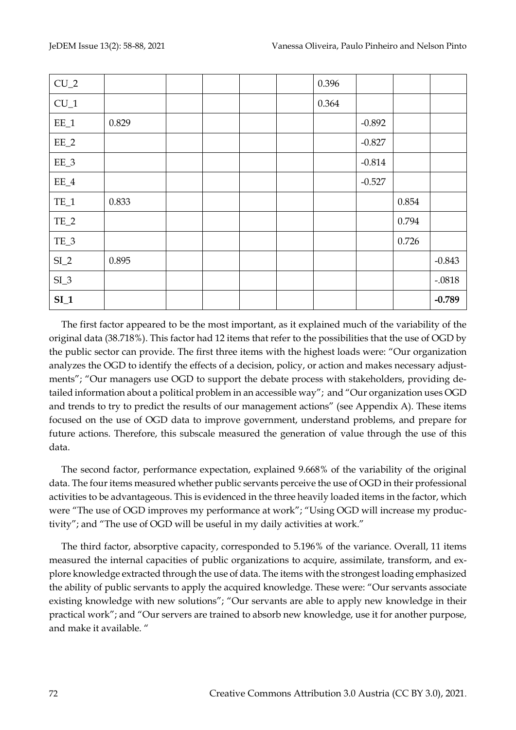| $CU_2$  |       |  |  | 0.396 |          |       |          |
|---------|-------|--|--|-------|----------|-------|----------|
| $CU_1$  |       |  |  | 0.364 |          |       |          |
| $EE_1$  | 0.829 |  |  |       | $-0.892$ |       |          |
| $EE_2$  |       |  |  |       | $-0.827$ |       |          |
| EE_3    |       |  |  |       | $-0.814$ |       |          |
| $EE\_4$ |       |  |  |       | $-0.527$ |       |          |
| $TE_1$  | 0.833 |  |  |       |          | 0.854 |          |
| $TE_2$  |       |  |  |       |          | 0.794 |          |
| TE_3    |       |  |  |       |          | 0.726 |          |
| $SI_2$  | 0.895 |  |  |       |          |       | $-0.843$ |
| $SL_3$  |       |  |  |       |          |       | $-.0818$ |
| $SI_1$  |       |  |  |       |          |       | $-0.789$ |

The first factor appeared to be the most important, as it explained much of the variability of the original data (38.718%). This factor had 12 items that refer to the possibilities that the use of OGD by the public sector can provide. The first three items with the highest loads were: "Our organization analyzes the OGD to identify the effects of a decision, policy, or action and makes necessary adjustments"; "Our managers use OGD to support the debate process with stakeholders, providing detailed information about a political problem in an accessible way"; and "Our organization uses OGD and trends to try to predict the results of our management actions" (see Appendix A). These items focused on the use of OGD data to improve government, understand problems, and prepare for future actions. Therefore, this subscale measured the generation of value through the use of this data.

The second factor, performance expectation, explained 9.668% of the variability of the original data. The four items measured whether public servants perceive the use of OGD in their professional activities to be advantageous. This is evidenced in the three heavily loaded items in the factor, which were "The use of OGD improves my performance at work"; "Using OGD will increase my productivity"; and "The use of OGD will be useful in my daily activities at work."

The third factor, absorptive capacity, corresponded to 5.196% of the variance. Overall, 11 items measured the internal capacities of public organizations to acquire, assimilate, transform, and explore knowledge extracted through the use of data. The items with the strongest loading emphasized the ability of public servants to apply the acquired knowledge. These were: "Our servants associate existing knowledge with new solutions"; "Our servants are able to apply new knowledge in their practical work"; and "Our servers are trained to absorb new knowledge, use it for another purpose, and make it available. "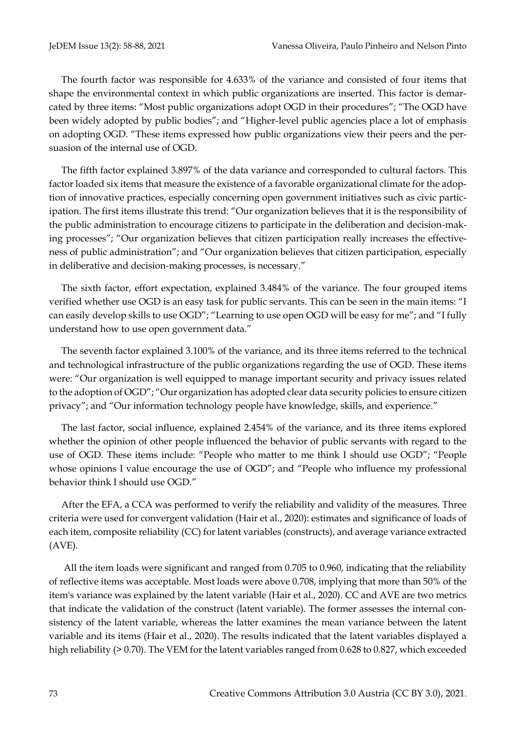The fourth factor was responsible for 4.633% of the variance and consisted of four items that shape the environmental context in which public organizations are inserted. This factor is demarcated by three items: "Most public organizations adopt OGD in their procedures"; "The OGD have been widely adopted by public bodies"; and "Higher-level public agencies place a lot of emphasis on adopting OGD. "These items expressed how public organizations view their peers and the persuasion of the internal use of OGD.

The fifth factor explained 3.897% of the data variance and corresponded to cultural factors. This factor loaded six items that measure the existence of a favorable organizational climate for the adoption of innovative practices, especially concerning open government initiatives such as civic participation. The first items illustrate this trend: "Our organization believes that it is the responsibility of the public administration to encourage citizens to participate in the deliberation and decision-making processes"; "Our organization believes that citizen participation really increases the effectiveness of public administration"; and "Our organization believes that citizen participation, especially in deliberative and decision-making processes, is necessary."

The sixth factor, effort expectation, explained 3.484% of the variance. The four grouped items verified whether use OGD is an easy task for public servants. This can be seen in the main items: "I can easily develop skills to use OGD"; "Learning to use open OGD will be easy for me"; and "I fully understand how to use open government data."

The seventh factor explained 3.100% of the variance, and its three items referred to the technical and technological infrastructure of the public organizations regarding the use of OGD. These items were: "Our organization is well equipped to manage important security and privacy issues related to the adoption of OGD"; "Our organization has adopted clear data security policies to ensure citizen privacy"; and "Our information technology people have knowledge, skills, and experience."

The last factor, social influence, explained 2.454% of the variance, and its three items explored whether the opinion of other people influenced the behavior of public servants with regard to the use of OGD. These items include: "People who matter to me think I should use OGD"; "People whose opinions I value encourage the use of OGD"; and "People who influence my professional behavior think I should use OGD."

After the EFA, a CCA was performed to verify the reliability and validity of the measures. Three criteria were used for convergent validation (Hair et al., 2020): estimates and significance of loads of each item, composite reliability (CC) for latent variables (constructs), and average variance extracted (AVE).

All the item loads were significant and ranged from 0.705 to 0.960, indicating that the reliability of reflective items was acceptable. Most loads were above 0.708, implying that more than 50% of the item's variance was explained by the latent variable (Hair et al., 2020). CC and AVE are two metrics that indicate the validation of the construct (latent variable). The former assesses the internal consistency of the latent variable, whereas the latter examines the mean variance between the latent variable and its items (Hair et al., 2020). The results indicated that the latent variables displayed a high reliability (> 0.70). The VEM for the latent variables ranged from 0.628 to 0.827, which exceeded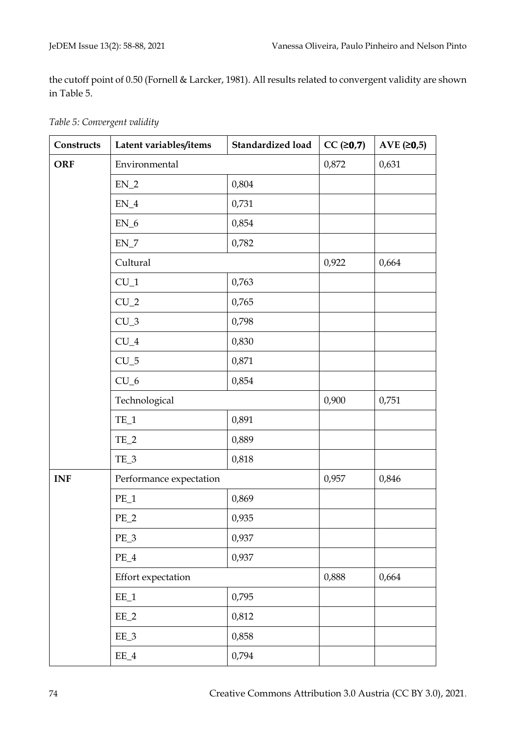the cutoff point of 0.50 (Fornell & Larcker, 1981). All results related to convergent validity are shown in Table 5.

| Constructs | Latent variables/items    | <b>Standardized load</b> | $CC ( \ge 0.7)$ | AVE $(20,5)$ |
|------------|---------------------------|--------------------------|-----------------|--------------|
| <b>ORF</b> | Environmental             |                          | 0,872           | 0,631        |
|            | $EN_2$                    | 0,804                    |                 |              |
|            | $\mathsf{EN}\_\mathsf{4}$ | 0,731                    |                 |              |
|            | $EN_6$                    | 0,854                    |                 |              |
|            | $\mathsf{EN\_7}$          | 0,782                    |                 |              |
|            | Cultural                  |                          | 0,922           | 0,664        |
|            | $CU_1$                    | 0,763                    |                 |              |
|            | $CU_2$                    | 0,765                    |                 |              |
|            | $CU_3$                    | 0,798                    |                 |              |
|            | $CU_4$                    | 0,830                    |                 |              |
|            | $CU_5$                    | 0,871                    |                 |              |
|            | $CU_6$                    | 0,854                    |                 |              |
|            | Technological             | 0,900                    | 0,751           |              |
|            | $TE_1$                    | 0,891                    |                 |              |
|            | $TE_2$                    | 0,889                    |                 |              |
|            | TE_3                      | 0,818                    |                 |              |
| <b>INF</b> | Performance expectation   |                          | 0,957           | 0,846        |
|            | $PE_1$                    | 0,869                    |                 |              |
|            | $PE_2$                    | 0,935                    |                 |              |
|            | $PE_3$                    | 0,937                    |                 |              |
|            | $PE_4$                    | 0,937                    |                 |              |
|            | Effort expectation        |                          | 0,888           | 0,664        |
|            | $EE_1$                    | 0,795                    |                 |              |
|            | $EE_2$                    | 0,812                    |                 |              |
|            | EE_3                      | 0,858                    |                 |              |
|            | $EE_4$                    | 0,794                    |                 |              |

*Table 5: Convergent validity*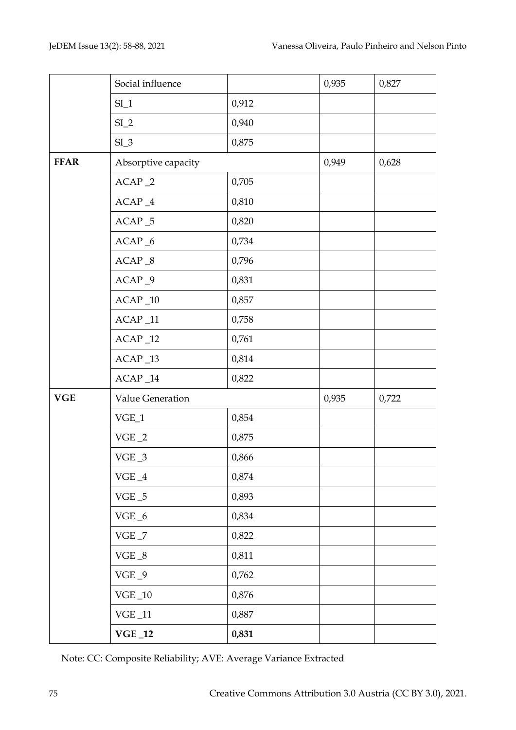|             | Social influence             |       | 0,935 | 0,827 |
|-------------|------------------------------|-------|-------|-------|
|             | $SI_1$                       | 0,912 |       |       |
|             | $SI_2$                       | 0,940 |       |       |
|             | $SI_3$                       | 0,875 |       |       |
| <b>FFAR</b> | Absorptive capacity          |       | 0,949 | 0,628 |
|             | $ACAP_2$                     | 0,705 |       |       |
|             | $\text{ACAP}\_\textbf{4}$    | 0,810 |       |       |
|             | $ACAP_5$                     | 0,820 |       |       |
|             | $ACAP_6$                     | 0,734 |       |       |
|             | $ACAP_8$                     | 0,796 |       |       |
|             | $ACAP_9$                     | 0,831 |       |       |
|             | $ACAP_10$                    | 0,857 |       |       |
|             | $ACAP_11$                    | 0,758 |       |       |
|             | $\text{ACAP}\_12$            | 0,761 |       |       |
|             | $ACAP_13$                    | 0,814 |       |       |
|             | $ACAP_14$                    | 0,822 |       |       |
| <b>VGE</b>  | Value Generation             |       | 0,935 | 0,722 |
|             | $\ensuremath{\text{VGE}\_1}$ | 0,854 |       |       |
|             | $VGE_2$                      | 0,875 |       |       |
|             | $\rm VGE$ $\_3$              | 0,866 |       |       |
|             | $\rm VGE$ $\_4$              | 0,874 |       |       |
|             | $VGE_5$                      | 0,893 |       |       |
|             | VGE $\_6$                    | 0,834 |       |       |
|             | VGE $\_7$                    | 0,822 |       |       |
|             | VGE $\_8$                    | 0,811 |       |       |
|             | $VGE_9$                      | 0,762 |       |       |
|             | $\rm VGE\_10$                | 0,876 |       |       |
|             | $\rm VGE\_11$                | 0,887 |       |       |
|             | $\mathbf{VGE}\_12$           | 0,831 |       |       |

Note: CC: Composite Reliability; AVE: Average Variance Extracted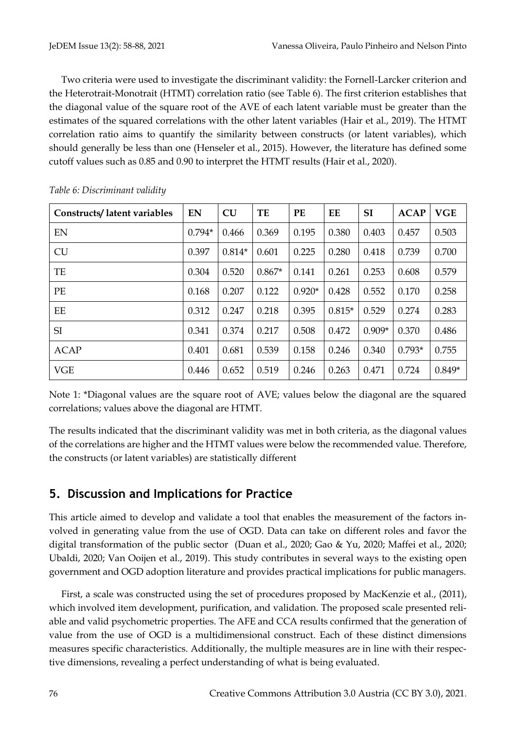Two criteria were used to investigate the discriminant validity: the Fornell-Larcker criterion and the Heterotrait-Monotrait (HTMT) correlation ratio (see Table 6). The first criterion establishes that the diagonal value of the square root of the AVE of each latent variable must be greater than the estimates of the squared correlations with the other latent variables (Hair et al., 2019). The HTMT correlation ratio aims to quantify the similarity between constructs (or latent variables), which should generally be less than one (Henseler et al., 2015). However, the literature has defined some cutoff values such as 0.85 and 0.90 to interpret the HTMT results (Hair et al., 2020).

| <b>Constructs/latent variables</b> | EN       | CU       | TE       | PE       | EE       | <b>SI</b> | <b>ACAP</b> | <b>VGE</b> |
|------------------------------------|----------|----------|----------|----------|----------|-----------|-------------|------------|
| EN                                 | $0.794*$ | 0.466    | 0.369    | 0.195    | 0.380    | 0.403     | 0.457       | 0.503      |
| <b>CU</b>                          | 0.397    | $0.814*$ | 0.601    | 0.225    | 0.280    | 0.418     | 0.739       | 0.700      |
| TE                                 | 0.304    | 0.520    | $0.867*$ | 0.141    | 0.261    | 0.253     | 0.608       | 0.579      |
| PE                                 | 0.168    | 0.207    | 0.122    | $0.920*$ | 0.428    | 0.552     | 0.170       | 0.258      |
| EE                                 | 0.312    | 0.247    | 0.218    | 0.395    | $0.815*$ | 0.529     | 0.274       | 0.283      |
| SI                                 | 0.341    | 0.374    | 0.217    | 0.508    | 0.472    | $0.909*$  | 0.370       | 0.486      |
| <b>ACAP</b>                        | 0.401    | 0.681    | 0.539    | 0.158    | 0.246    | 0.340     | $0.793*$    | 0.755      |
| <b>VGE</b>                         | 0.446    | 0.652    | 0.519    | 0.246    | 0.263    | 0.471     | 0.724       | $0.849*$   |

*Table 6: Discriminant validity*

Note 1: \*Diagonal values are the square root of AVE; values below the diagonal are the squared correlations; values above the diagonal are HTMT.

The results indicated that the discriminant validity was met in both criteria, as the diagonal values of the correlations are higher and the HTMT values were below the recommended value. Therefore, the constructs (or latent variables) are statistically different

# **5. Discussion and Implications for Practice**

This article aimed to develop and validate a tool that enables the measurement of the factors involved in generating value from the use of OGD. Data can take on different roles and favor the digital transformation of the public sector (Duan et al., 2020; Gao & Yu, 2020; Maffei et al., 2020; Ubaldi, 2020; Van Ooijen et al., 2019). This study contributes in several ways to the existing open government and OGD adoption literature and provides practical implications for public managers.

First, a scale was constructed using the set of procedures proposed by MacKenzie et al., (2011), which involved item development, purification, and validation. The proposed scale presented reliable and valid psychometric properties. The AFE and CCA results confirmed that the generation of value from the use of OGD is a multidimensional construct. Each of these distinct dimensions measures specific characteristics. Additionally, the multiple measures are in line with their respective dimensions, revealing a perfect understanding of what is being evaluated.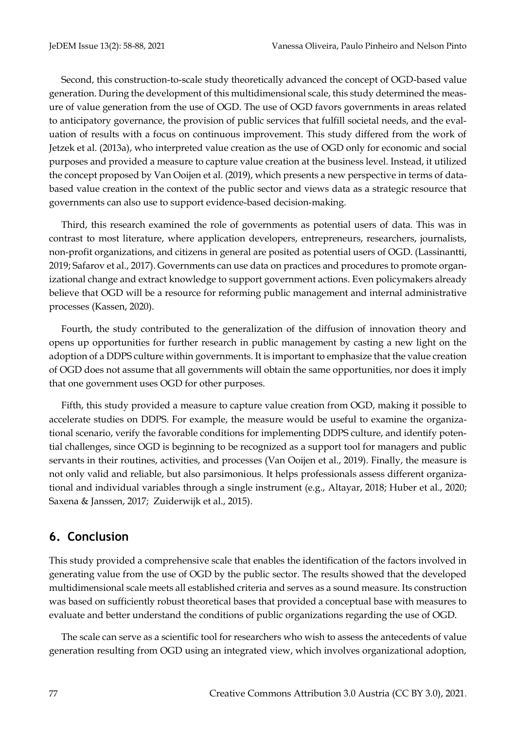Second, this construction-to-scale study theoretically advanced the concept of OGD-based value generation. During the development of this multidimensional scale, this study determined the measure of value generation from the use of OGD. The use of OGD favors governments in areas related to anticipatory governance, the provision of public services that fulfill societal needs, and the evaluation of results with a focus on continuous improvement. This study differed from the work of Jetzek et al. (2013a), who interpreted value creation as the use of OGD only for economic and social purposes and provided a measure to capture value creation at the business level. Instead, it utilized the concept proposed by Van Ooijen et al. (2019), which presents a new perspective in terms of databased value creation in the context of the public sector and views data as a strategic resource that governments can also use to support evidence-based decision-making.

Third, this research examined the role of governments as potential users of data. This was in contrast to most literature, where application developers, entrepreneurs, researchers, journalists, non-profit organizations, and citizens in general are posited as potential users of OGD. (Lassinantti, 2019; Safarov et al., 2017). Governments can use data on practices and procedures to promote organizational change and extract knowledge to support government actions. Even policymakers already believe that OGD will be a resource for reforming public management and internal administrative processes (Kassen, 2020).

Fourth, the study contributed to the generalization of the diffusion of innovation theory and opens up opportunities for further research in public management by casting a new light on the adoption of a DDPS culture within governments. It is important to emphasize that the value creation of OGD does not assume that all governments will obtain the same opportunities, nor does it imply that one government uses OGD for other purposes.

Fifth, this study provided a measure to capture value creation from OGD, making it possible to accelerate studies on DDPS. For example, the measure would be useful to examine the organizational scenario, verify the favorable conditions for implementing DDPS culture, and identify potential challenges, since OGD is beginning to be recognized as a support tool for managers and public servants in their routines, activities, and processes (Van Ooijen et al., 2019). Finally, the measure is not only valid and reliable, but also parsimonious. It helps professionals assess different organizational and individual variables through a single instrument (e.g., Altayar, 2018; Huber et al., 2020; Saxena & Janssen, 2017; Zuiderwijk et al., 2015).

# **6. Conclusion**

This study provided a comprehensive scale that enables the identification of the factors involved in generating value from the use of OGD by the public sector. The results showed that the developed multidimensional scale meets all established criteria and serves as a sound measure. Its construction was based on sufficiently robust theoretical bases that provided a conceptual base with measures to evaluate and better understand the conditions of public organizations regarding the use of OGD.

The scale can serve as a scientific tool for researchers who wish to assess the antecedents of value generation resulting from OGD using an integrated view, which involves organizational adoption,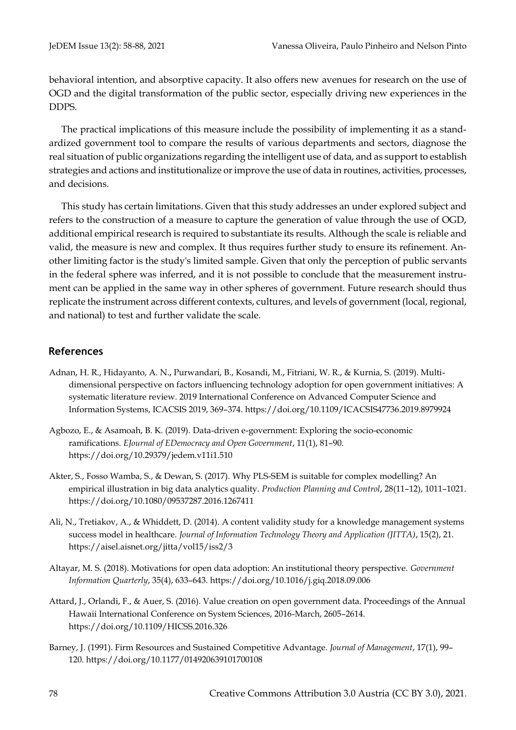behavioral intention, and absorptive capacity. It also offers new avenues for research on the use of OGD and the digital transformation of the public sector, especially driving new experiences in the DDPS.

The practical implications of this measure include the possibility of implementing it as a standardized government tool to compare the results of various departments and sectors, diagnose the real situation of public organizations regarding the intelligent use of data, and as support to establish strategies and actions and institutionalize or improve the use of data in routines, activities, processes, and decisions.

This study has certain limitations. Given that this study addresses an under explored subject and refers to the construction of a measure to capture the generation of value through the use of OGD, additional empirical research is required to substantiate its results. Although the scale is reliable and valid, the measure is new and complex. It thus requires further study to ensure its refinement. Another limiting factor is the study's limited sample. Given that only the perception of public servants in the federal sphere was inferred, and it is not possible to conclude that the measurement instrument can be applied in the same way in other spheres of government. Future research should thus replicate the instrument across different contexts, cultures, and levels of government (local, regional, and national) to test and further validate the scale.

#### **References**

- Adnan, H. R., Hidayanto, A. N., Purwandari, B., Kosandi, M., Fitriani, W. R., & Kurnia, S. (2019). Multidimensional perspective on factors influencing technology adoption for open government initiatives: A systematic literature review. 2019 International Conference on Advanced Computer Science and Information Systems, ICACSIS 2019, 369–374. https://doi.org/10.1109/ICACSIS47736.2019.8979924
- Agbozo, E., & Asamoah, B. K. (2019). Data-driven e-government: Exploring the socio-economic ramifications. *EJournal of EDemocracy and Open Government*, 11(1), 81–90. https://doi.org/10.29379/jedem.v11i1.510
- Akter, S., Fosso Wamba, S., & Dewan, S. (2017). Why PLS-SEM is suitable for complex modelling? An empirical illustration in big data analytics quality. *Production Planning and Control*, 28(11–12), 1011–1021. https://doi.org/10.1080/09537287.2016.1267411
- Ali, N., Tretiakov, A., & Whiddett, D. (2014). A content validity study for a knowledge management systems success model in healthcare. *Journal of Information Technology Theory and Application (JITTA)*, 15(2), 21. https://aisel.aisnet.org/jitta/vol15/iss2/3
- Altayar, M. S. (2018). Motivations for open data adoption: An institutional theory perspective. *Government Information Quarterly*, 35(4), 633–643. https://doi.org/10.1016/j.giq.2018.09.006
- Attard, J., Orlandi, F., & Auer, S. (2016). Value creation on open government data. Proceedings of the Annual Hawaii International Conference on System Sciences, 2016-March, 2605–2614. https://doi.org/10.1109/HICSS.2016.326
- Barney, J. (1991). Firm Resources and Sustained Competitive Advantage. *Journal of Management*, 17(1), 99– 120. https://doi.org/10.1177/014920639101700108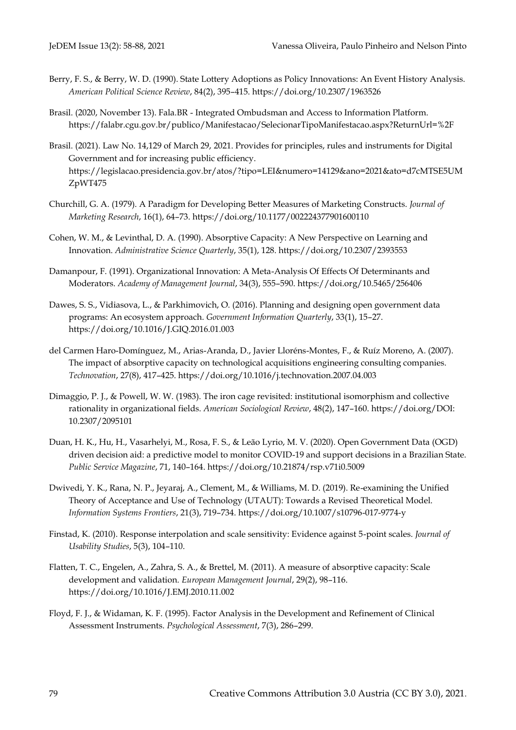- Berry, F. S., & Berry, W. D. (1990). State Lottery Adoptions as Policy Innovations: An Event History Analysis. *American Political Science Review*, 84(2), 395–415. https://doi.org/10.2307/1963526
- Brasil. (2020, November 13). Fala.BR Integrated Ombudsman and Access to Information Platform. https://falabr.cgu.gov.br/publico/Manifestacao/SelecionarTipoManifestacao.aspx?ReturnUrl=%2F
- Brasil. (2021). Law No. 14,129 of March 29, 2021. Provides for principles, rules and instruments for Digital Government and for increasing public efficiency. https://legislacao.presidencia.gov.br/atos/?tipo=LEI&numero=14129&ano=2021&ato=d7cMTSE5UM ZpWT475
- Churchill, G. A. (1979). A Paradigm for Developing Better Measures of Marketing Constructs. *Journal of Marketing Research*, 16(1), 64–73. https://doi.org/10.1177/002224377901600110
- Cohen, W. M., & Levinthal, D. A. (1990). Absorptive Capacity: A New Perspective on Learning and Innovation. *Administrative Science Quarterly*, 35(1), 128. https://doi.org/10.2307/2393553
- Damanpour, F. (1991). Organizational Innovation: A Meta-Analysis Of Effects Of Determinants and Moderators. *Academy of Management Journal*, 34(3), 555–590. https://doi.org/10.5465/256406
- Dawes, S. S., Vidiasova, L., & Parkhimovich, O. (2016). Planning and designing open government data programs: An ecosystem approach. *Government Information Quarterly*, 33(1), 15–27. https://doi.org/10.1016/J.GIQ.2016.01.003
- del Carmen Haro-Domínguez, M., Arias-Aranda, D., Javier Lloréns-Montes, F., & Ruíz Moreno, A. (2007). The impact of absorptive capacity on technological acquisitions engineering consulting companies. *Technovation*, 27(8), 417–425. https://doi.org/10.1016/j.technovation.2007.04.003
- Dimaggio, P. J., & Powell, W. W. (1983). The iron cage revisited: institutional isomorphism and collective rationality in organizational fields. *American Sociological Review*, 48(2), 147–160. https://doi.org/DOI: 10.2307/2095101
- Duan, H. K., Hu, H., Vasarhelyi, M., Rosa, F. S., & Leão Lyrio, M. V. (2020). Open Government Data (OGD) driven decision aid: a predictive model to monitor COVID-19 and support decisions in a Brazilian State. *Public Service Magazine*, 71, 140–164. https://doi.org/10.21874/rsp.v71i0.5009
- Dwivedi, Y. K., Rana, N. P., Jeyaraj, A., Clement, M., & Williams, M. D. (2019). Re-examining the Unified Theory of Acceptance and Use of Technology (UTAUT): Towards a Revised Theoretical Model. *Information Systems Frontiers*, 21(3), 719–734. https://doi.org/10.1007/s10796-017-9774-y
- Finstad, K. (2010). Response interpolation and scale sensitivity: Evidence against 5-point scales. *Journal of Usability Studies*, 5(3), 104–110.
- Flatten, T. C., Engelen, A., Zahra, S. A., & Brettel, M. (2011). A measure of absorptive capacity: Scale development and validation. *European Management Journal*, 29(2), 98–116. https://doi.org/10.1016/J.EMJ.2010.11.002
- Floyd, F. J., & Widaman, K. F. (1995). Factor Analysis in the Development and Refinement of Clinical Assessment Instruments. *Psychological Assessment*, 7(3), 286–299.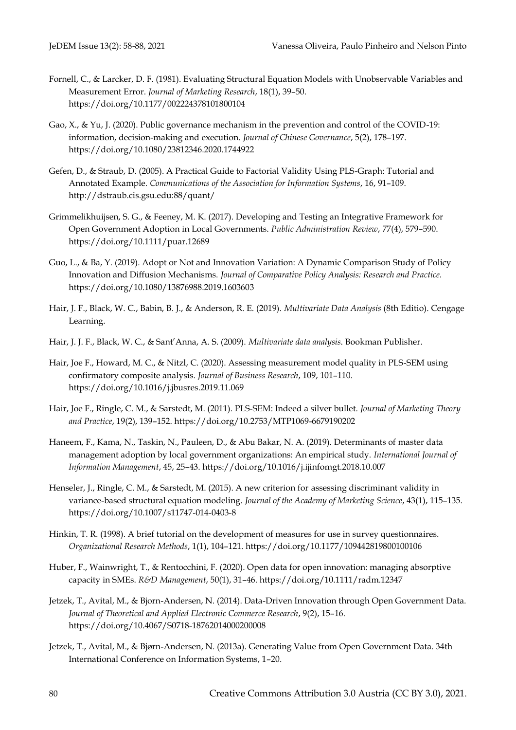- Fornell, C., & Larcker, D. F. (1981). Evaluating Structural Equation Models with Unobservable Variables and Measurement Error. *Journal of Marketing Research*, 18(1), 39–50. https://doi.org/10.1177/002224378101800104
- Gao, X., & Yu, J. (2020). Public governance mechanism in the prevention and control of the COVID-19: information, decision-making and execution. *Journal of Chinese Governance*, 5(2), 178–197. https://doi.org/10.1080/23812346.2020.1744922
- Gefen, D., & Straub, D. (2005). A Practical Guide to Factorial Validity Using PLS-Graph: Tutorial and Annotated Example. *Communications of the Association for Information Systems*, 16, 91–109. http://dstraub.cis.gsu.edu:88/quant/
- Grimmelikhuijsen, S. G., & Feeney, M. K. (2017). Developing and Testing an Integrative Framework for Open Government Adoption in Local Governments. *Public Administration Review*, 77(4), 579–590. https://doi.org/10.1111/puar.12689
- Guo, L., & Ba, Y. (2019). Adopt or Not and Innovation Variation: A Dynamic Comparison Study of Policy Innovation and Diffusion Mechanisms. *Journal of Comparative Policy Analysis: Research and Practice.* https://doi.org/10.1080/13876988.2019.1603603
- Hair, J. F., Black, W. C., Babin, B. J., & Anderson, R. E. (2019). *Multivariate Data Analysis* (8th Editio). Cengage Learning.
- Hair, J. J. F., Black, W. C., & Sant'Anna, A. S. (2009). *Multivariate data analysis*. Bookman Publisher.
- Hair, Joe F., Howard, M. C., & Nitzl, C. (2020). Assessing measurement model quality in PLS-SEM using confirmatory composite analysis. *Journal of Business Research*, 109, 101–110. https://doi.org/10.1016/j.jbusres.2019.11.069
- Hair, Joe F., Ringle, C. M., & Sarstedt, M. (2011). PLS-SEM: Indeed a silver bullet. *Journal of Marketing Theory and Practice*, 19(2), 139–152. https://doi.org/10.2753/MTP1069-6679190202
- Haneem, F., Kama, N., Taskin, N., Pauleen, D., & Abu Bakar, N. A. (2019). Determinants of master data management adoption by local government organizations: An empirical study. *International Journal of Information Management*, 45, 25–43. https://doi.org/10.1016/j.ijinfomgt.2018.10.007
- Henseler, J., Ringle, C. M., & Sarstedt, M. (2015). A new criterion for assessing discriminant validity in variance-based structural equation modeling. *Journal of the Academy of Marketing Science*, 43(1), 115–135. https://doi.org/10.1007/s11747-014-0403-8
- Hinkin, T. R. (1998). A brief tutorial on the development of measures for use in survey questionnaires. *Organizational Research Methods*, 1(1), 104–121. https://doi.org/10.1177/109442819800100106
- Huber, F., Wainwright, T., & Rentocchini, F. (2020). Open data for open innovation: managing absorptive capacity in SMEs. *R&D Management*, 50(1), 31–46. https://doi.org/10.1111/radm.12347
- Jetzek, T., Avital, M., & Bjorn-Andersen, N. (2014). Data-Driven Innovation through Open Government Data. *Journal of Theoretical and Applied Electronic Commerce Research*, 9(2), 15–16. https://doi.org/10.4067/S0718-18762014000200008
- Jetzek, T., Avital, M., & Bjørn-Andersen, N. (2013a). Generating Value from Open Government Data. 34th International Conference on Information Systems, 1–20.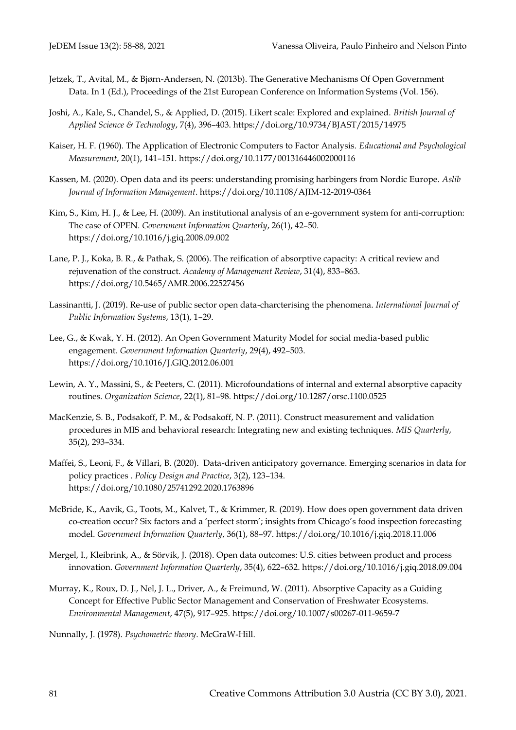- Jetzek, T., Avital, M., & Bjørn-Andersen, N. (2013b). The Generative Mechanisms Of Open Government Data. In 1 (Ed.), Proceedings of the 21st European Conference on Information Systems (Vol. 156).
- Joshi, A., Kale, S., Chandel, S., & Applied, D. (2015). Likert scale: Explored and explained. *British Journal of Applied Science & Technology*, 7(4), 396–403. https://doi.org/10.9734/BJAST/2015/14975
- Kaiser, H. F. (1960). The Application of Electronic Computers to Factor Analysis. *Educational and Psychological Measurement*, 20(1), 141–151. https://doi.org/10.1177/001316446002000116
- Kassen, M. (2020). Open data and its peers: understanding promising harbingers from Nordic Europe. *Aslib Journal of Information Management*. https://doi.org/10.1108/AJIM-12-2019-0364
- Kim, S., Kim, H. J., & Lee, H. (2009). An institutional analysis of an e-government system for anti-corruption: The case of OPEN. *Government Information Quarterly*, 26(1), 42–50. https://doi.org/10.1016/j.giq.2008.09.002
- Lane, P. J., Koka, B. R., & Pathak, S. (2006). The reification of absorptive capacity: A critical review and rejuvenation of the construct. *Academy of Management Review*, 31(4), 833–863. https://doi.org/10.5465/AMR.2006.22527456
- Lassinantti, J. (2019). Re-use of public sector open data-charcterising the phenomena. *International Journal of Public Information Systems*, 13(1), 1–29.
- Lee, G., & Kwak, Y. H. (2012). An Open Government Maturity Model for social media-based public engagement. *Government Information Quarterly*, 29(4), 492–503. https://doi.org/10.1016/J.GIQ.2012.06.001
- Lewin, A. Y., Massini, S., & Peeters, C. (2011). Microfoundations of internal and external absorptive capacity routines. *Organization Science*, 22(1), 81–98. https://doi.org/10.1287/orsc.1100.0525
- MacKenzie, S. B., Podsakoff, P. M., & Podsakoff, N. P. (2011). Construct measurement and validation procedures in MIS and behavioral research: Integrating new and existing techniques. *MIS Quarterly*, 35(2), 293–334.
- Maffei, S., Leoni, F., & Villari, B. (2020). Data-driven anticipatory governance. Emerging scenarios in data for policy practices . *Policy Design and Practice*, 3(2), 123–134. https://doi.org/10.1080/25741292.2020.1763896
- McBride, K., Aavik, G., Toots, M., Kalvet, T., & Krimmer, R. (2019). How does open government data driven co-creation occur? Six factors and a 'perfect storm'; insights from Chicago's food inspection forecasting model. *Government Information Quarterly*, 36(1), 88–97. https://doi.org/10.1016/j.giq.2018.11.006
- Mergel, I., Kleibrink, A., & Sörvik, J. (2018). Open data outcomes: U.S. cities between product and process innovation. *Government Information Quarterly*, 35(4), 622–632. https://doi.org/10.1016/j.giq.2018.09.004
- Murray, K., Roux, D. J., Nel, J. L., Driver, A., & Freimund, W. (2011). Absorptive Capacity as a Guiding Concept for Effective Public Sector Management and Conservation of Freshwater Ecosystems. *Environmental Management*, 47(5), 917–925. https://doi.org/10.1007/s00267-011-9659-7

Nunnally, J. (1978). *Psychometric theory*. McGraW-Hill.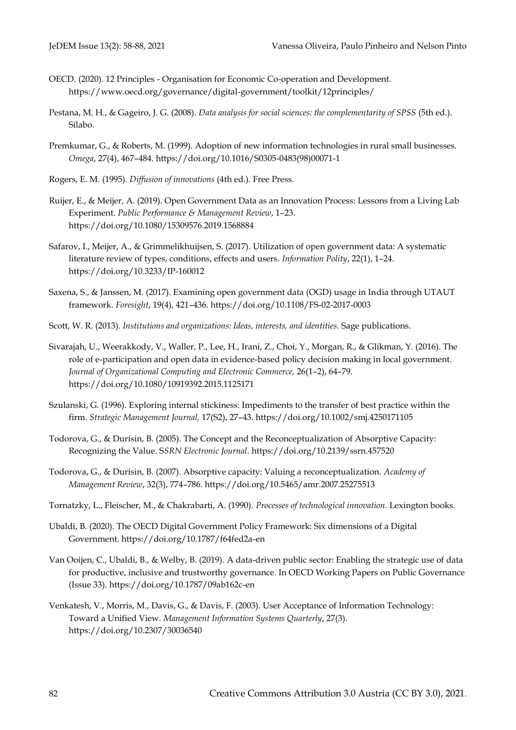- OECD. (2020). 12 Principles Organisation for Economic Co-operation and Development. https://www.oecd.org/governance/digital-government/toolkit/12principles/
- Pestana, M. H., & Gageiro, J. G. (2008). *Data analysis for social sciences: the complementarity of SPSS* (5th ed.). Sílabo.
- Premkumar, G., & Roberts, M. (1999). Adoption of new information technologies in rural small businesses. *Omega*, 27(4), 467–484. https://doi.org/10.1016/S0305-0483(98)00071-1
- Rogers, E. M. (1995). *Diffusion of innovations* (4th ed.). Free Press.
- Ruijer, E., & Meijer, A. (2019). Open Government Data as an Innovation Process: Lessons from a Living Lab Experiment. *Public Performance & Management Review*, 1–23. https://doi.org/10.1080/15309576.2019.1568884
- Safarov, I., Meijer, A., & Grimmelikhuijsen, S. (2017). Utilization of open government data: A systematic literature review of types, conditions, effects and users. *Information Polity*, 22(1), 1–24. https://doi.org/10.3233/IP-160012
- Saxena, S., & Janssen, M. (2017). Examining open government data (OGD) usage in India through UTAUT framework. *Foresight*, 19(4), 421–436. https://doi.org/10.1108/FS-02-2017-0003
- Scott, W. R. (2013). *Institutions and organizations: Ideas, interests, and identities.* Sage publications.
- Sivarajah, U., Weerakkody, V., Waller, P., Lee, H., Irani, Z., Choi, Y., Morgan, R., & Glikman, Y. (2016). The role of e-participation and open data in evidence-based policy decision making in local government. *Journal of Organizational Computing and Electronic Commerce,* 26(1–2), 64–79. https://doi.org/10.1080/10919392.2015.1125171
- Szulanski, G. (1996). Exploring internal stickiness: Impediments to the transfer of best practice within the firm. *Strategic Management Journal,* 17(S2), 27–43. https://doi.org/10.1002/smj.4250171105
- Todorova, G., & Durisin, B. (2005). The Concept and the Reconceptualization of Absorptive Capacity: Recognizing the Value. S*SRN Electronic Journal*. https://doi.org/10.2139/ssrn.457520
- Todorova, G., & Durisin, B. (2007). Absorptive capacity: Valuing a reconceptualization. *Academy of Management Review*, 32(3), 774–786. https://doi.org/10.5465/amr.2007.25275513
- Tornatzky, L., Fleischer, M., & Chakrabarti, A. (1990). *Processes of technological innovation.* Lexington books.
- Ubaldi, B. (2020). The OECD Digital Government Policy Framework: Six dimensions of a Digital Government. https://doi.org/10.1787/f64fed2a-en
- Van Ooijen, C., Ubaldi, B., & Welby, B. (2019). A data-driven public sector: Enabling the strategic use of data for productive, inclusive and trustworthy governance. In OECD Working Papers on Public Governance (Issue 33). https://doi.org/10.1787/09ab162c-en
- Venkatesh, V., Morris, M., Davis, G., & Davis, F. (2003). User Acceptance of Information Technology: Toward a Unified View. *Management Information Systems Quarterly*, 27(3). https://doi.org/10.2307/30036540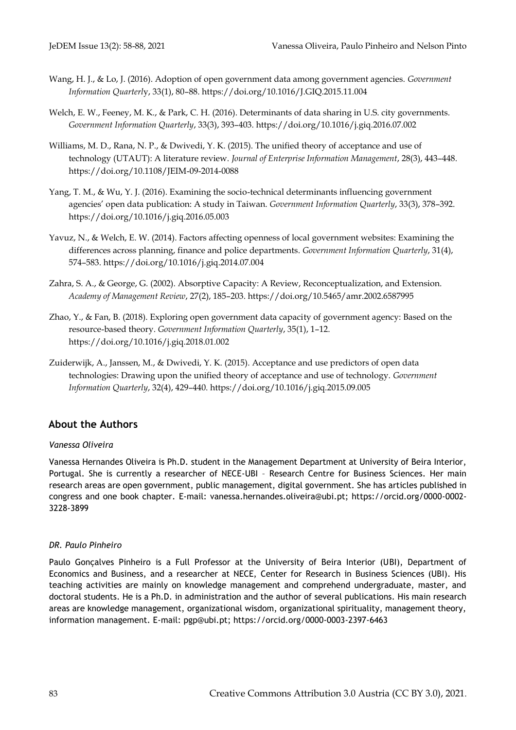- Wang, H. J., & Lo, J. (2016). Adoption of open government data among government agencies. *Government Information Quarterl*y, 33(1), 80–88. https://doi.org/10.1016/J.GIQ.2015.11.004
- Welch, E. W., Feeney, M. K., & Park, C. H. (2016). Determinants of data sharing in U.S. city governments. *Government Information Quarterly*, 33(3), 393–403. https://doi.org/10.1016/j.giq.2016.07.002
- Williams, M. D., Rana, N. P., & Dwivedi, Y. K. (2015). The unified theory of acceptance and use of technology (UTAUT): A literature review. *Journal of Enterprise Information Management*, 28(3), 443–448. https://doi.org/10.1108/JEIM-09-2014-0088
- Yang, T. M., & Wu, Y. J. (2016). Examining the socio-technical determinants influencing government agencies' open data publication: A study in Taiwan. *Government Information Quarterly*, 33(3), 378–392. https://doi.org/10.1016/j.giq.2016.05.003
- Yavuz, N., & Welch, E. W. (2014). Factors affecting openness of local government websites: Examining the differences across planning, finance and police departments. *Government Information Quarterly*, 31(4), 574–583. https://doi.org/10.1016/j.giq.2014.07.004
- Zahra, S. A., & George, G. (2002). Absorptive Capacity: A Review, Reconceptualization, and Extension. *Academy of Management Review*, 27(2), 185–203. https://doi.org/10.5465/amr.2002.6587995
- Zhao, Y., & Fan, B. (2018). Exploring open government data capacity of government agency: Based on the resource-based theory. *Government Information Quarterly*, 35(1), 1–12. https://doi.org/10.1016/j.giq.2018.01.002
- Zuiderwijk, A., Janssen, M., & Dwivedi, Y. K. (2015). Acceptance and use predictors of open data technologies: Drawing upon the unified theory of acceptance and use of technology. *Government Information Quarterly*, 32(4), 429–440. https://doi.org/10.1016/j.giq.2015.09.005

## **About the Authors**

#### *Vanessa Oliveira*

Vanessa Hernandes Oliveira is Ph.D. student in the Management Department at University of Beira Interior, Portugal. She is currently a researcher of NECE-UBI – Research Centre for Business Sciences. Her main research areas are open government, public management, digital government. She has articles published in congress and one book chapter. E-mail: vanessa.hernandes.oliveira@ubi.pt; https://orcid.org/0000-0002- 3228-3899

#### *DR. Paulo Pinheiro*

Paulo Gonçalves Pinheiro is a Full Professor at the University of Beira Interior (UBI), Department of Economics and Business, and a researcher at NECE, Center for Research in Business Sciences (UBI). His teaching activities are mainly on knowledge management and comprehend undergraduate, master, and doctoral students. He is a Ph.D. in administration and the author of several publications. His main research areas are knowledge management, organizational wisdom, organizational spirituality, management theory, information management. E-mail: pgp@ubi.pt;<https://orcid.org/0000-0003-2397-6463>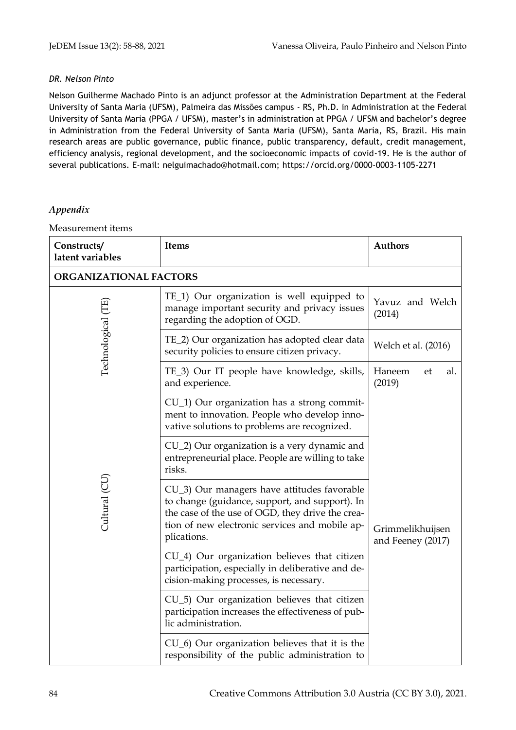#### *DR. Nelson Pinto*

Nelson Guilherme Machado Pinto is an adjunct professor at the Administration Department at the Federal University of Santa Maria (UFSM), Palmeira das Missões campus - RS, Ph.D. in Administration at the Federal University of Santa Maria (PPGA / UFSM), master's in administration at PPGA / UFSM and bachelor's degree in Administration from the Federal University of Santa Maria (UFSM), Santa Maria, RS, Brazil. His main research areas are public governance, public finance, public transparency, default, credit management, efficiency analysis, regional development, and the socioeconomic impacts of covid-19. He is the author of several publications. E-mail: nelguimachado@hotmail.com;<https://orcid.org/0000-0003-1105-2271>

#### *Appendix*

Measurement items

| Constructs/<br>latent variables | Items                                                                                                                                                                                                              | <b>Authors</b>                        |  |  |  |  |
|---------------------------------|--------------------------------------------------------------------------------------------------------------------------------------------------------------------------------------------------------------------|---------------------------------------|--|--|--|--|
| ORGANIZATIONAL FACTORS          |                                                                                                                                                                                                                    |                                       |  |  |  |  |
|                                 | TE_1) Our organization is well equipped to<br>manage important security and privacy issues<br>regarding the adoption of OGD.                                                                                       | Yavuz and Welch<br>(2014)             |  |  |  |  |
| Technological (TE               | TE_2) Our organization has adopted clear data<br>security policies to ensure citizen privacy.                                                                                                                      | Welch et al. (2016)                   |  |  |  |  |
|                                 | TE_3) Our IT people have knowledge, skills,<br>and experience.                                                                                                                                                     |                                       |  |  |  |  |
|                                 | $CU_1$ ) Our organization has a strong commit-<br>ment to innovation. People who develop inno-<br>vative solutions to problems are recognized.                                                                     |                                       |  |  |  |  |
|                                 | CU <sub>_2</sub> ) Our organization is a very dynamic and<br>entrepreneurial place. People are willing to take<br>risks.                                                                                           |                                       |  |  |  |  |
| Cultural (CU)                   | CU_3) Our managers have attitudes favorable<br>to change (guidance, support, and support). In<br>the case of the use of OGD, they drive the crea-<br>tion of new electronic services and mobile ap-<br>plications. | Grimmelikhuijsen<br>and Feeney (2017) |  |  |  |  |
|                                 | CU_4) Our organization believes that citizen<br>participation, especially in deliberative and de-<br>cision-making processes, is necessary.                                                                        |                                       |  |  |  |  |
|                                 | CU_5) Our organization believes that citizen<br>participation increases the effectiveness of pub-<br>lic administration.                                                                                           |                                       |  |  |  |  |
|                                 | $CU_6$ ) Our organization believes that it is the<br>responsibility of the public administration to                                                                                                                |                                       |  |  |  |  |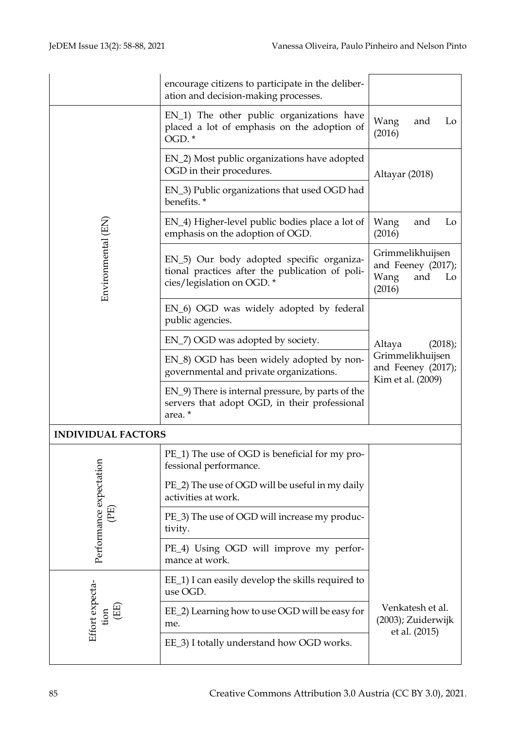|                                                   | encourage citizens to participate in the deliber-<br>ation and decision-making processes.                                 |                                                                       |  |  |  |
|---------------------------------------------------|---------------------------------------------------------------------------------------------------------------------------|-----------------------------------------------------------------------|--|--|--|
|                                                   | EN_1) The other public organizations have<br>placed a lot of emphasis on the adoption of<br>OGD.*                         | Wang<br>Lo<br>and<br>(2016)                                           |  |  |  |
|                                                   | EN_2) Most public organizations have adopted<br>OGD in their procedures.                                                  | Altayar (2018)                                                        |  |  |  |
|                                                   | EN_3) Public organizations that used OGD had<br>benefits.*                                                                |                                                                       |  |  |  |
|                                                   | EN_4) Higher-level public bodies place a lot of<br>emphasis on the adoption of OGD.                                       | Wang<br>Lo<br>and<br>(2016)                                           |  |  |  |
| Environmental (EN)                                | EN_5) Our body adopted specific organiza-<br>tional practices after the publication of poli-<br>cies/legislation on OGD.* | Grimmelikhuijsen<br>and Feeney (2017);<br>Wang<br>and<br>Lo<br>(2016) |  |  |  |
|                                                   | EN_6) OGD was widely adopted by federal<br>public agencies.                                                               |                                                                       |  |  |  |
|                                                   | EN_7) OGD was adopted by society.                                                                                         | (2018);<br>Altaya                                                     |  |  |  |
|                                                   | EN_8) OGD has been widely adopted by non-<br>governmental and private organizations.                                      | Grimmelikhuijsen<br>and Feeney (2017);<br>Kim et al. (2009)           |  |  |  |
|                                                   | EN_9) There is internal pressure, by parts of the<br>servers that adopt OGD, in their professional<br>area. *             |                                                                       |  |  |  |
| <b>INDIVIDUAL FACTORS</b>                         |                                                                                                                           |                                                                       |  |  |  |
| $\overline{ }$                                    | PE_1) The use of OGD is beneficial for my pro-<br>fessional performance.                                                  |                                                                       |  |  |  |
|                                                   | PE_2) The use of OGD will be useful in my daily<br>activities at work.                                                    |                                                                       |  |  |  |
| Performance expectation<br>$\overline{\text{PE}}$ | PE_3) The use of OGD will increase my produc-<br>tivity.                                                                  |                                                                       |  |  |  |
|                                                   | PE_4) Using OGD will improve my perfor-<br>mance at work.                                                                 |                                                                       |  |  |  |
|                                                   | EE_1) I can easily develop the skills required to<br>use OGD.                                                             |                                                                       |  |  |  |
| Effort expecta-<br>tion (EE)                      | EE_2) Learning how to use OGD will be easy for<br>me.                                                                     | Venkatesh et al.<br>(2003); Zuiderwijk<br>et al. (2015)               |  |  |  |
|                                                   | EE_3) I totally understand how OGD works.                                                                                 |                                                                       |  |  |  |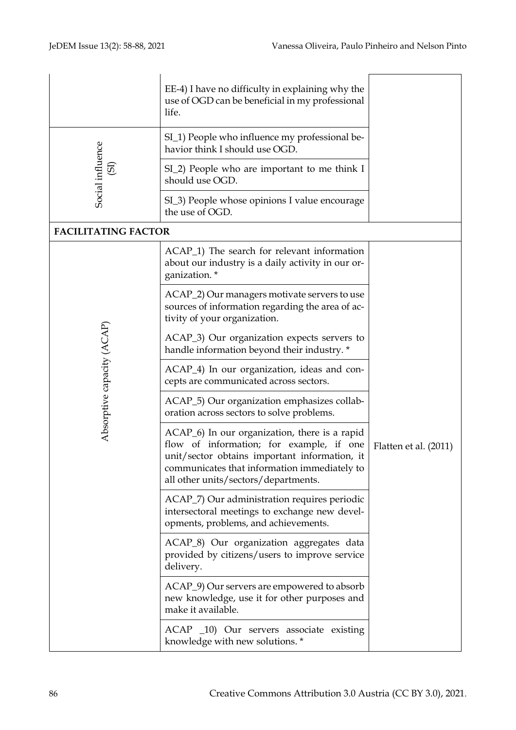|                                    | EE-4) I have no difficulty in explaining why the<br>use of OGD can be beneficial in my professional<br>life.                                                                                                                       |                       |  |  |  |
|------------------------------------|------------------------------------------------------------------------------------------------------------------------------------------------------------------------------------------------------------------------------------|-----------------------|--|--|--|
| Social influence<br>$\overline{5}$ | SI_1) People who influence my professional be-<br>havior think I should use OGD.                                                                                                                                                   |                       |  |  |  |
|                                    | SI_2) People who are important to me think I<br>should use OGD.                                                                                                                                                                    |                       |  |  |  |
|                                    | SI_3) People whose opinions I value encourage<br>the use of OGD.                                                                                                                                                                   |                       |  |  |  |
| <b>FACILITATING FACTOR</b>         |                                                                                                                                                                                                                                    |                       |  |  |  |
| Absorptive capacity (ACAP)         | ACAP <sub>1</sub> ) The search for relevant information<br>about our industry is a daily activity in our or-<br>ganization.*                                                                                                       |                       |  |  |  |
|                                    | ACAP_2) Our managers motivate servers to use<br>sources of information regarding the area of ac-<br>tivity of your organization.                                                                                                   |                       |  |  |  |
|                                    | ACAP_3) Our organization expects servers to<br>handle information beyond their industry. *                                                                                                                                         |                       |  |  |  |
|                                    | ACAP <sub>_4</sub> ) In our organization, ideas and con-<br>cepts are communicated across sectors.                                                                                                                                 |                       |  |  |  |
|                                    | ACAP_5) Our organization emphasizes collab-<br>oration across sectors to solve problems.                                                                                                                                           |                       |  |  |  |
|                                    | ACAP_6) In our organization, there is a rapid<br>flow of information; for example, if one<br>unit/sector obtains important information, it<br>communicates that information immediately to<br>all other units/sectors/departments. | Flatten et al. (2011) |  |  |  |
|                                    | ACAP_7) Our administration requires periodic<br>intersectoral meetings to exchange new devel-<br>opments, problems, and achievements.                                                                                              |                       |  |  |  |
|                                    | ACAP <sub>_8</sub> ) Our organization aggregates data<br>provided by citizens/users to improve service<br>delivery.                                                                                                                |                       |  |  |  |
|                                    | ACAP_9) Our servers are empowered to absorb<br>new knowledge, use it for other purposes and<br>make it available.                                                                                                                  |                       |  |  |  |
|                                    | ACAP _10) Our servers associate existing<br>knowledge with new solutions. *                                                                                                                                                        |                       |  |  |  |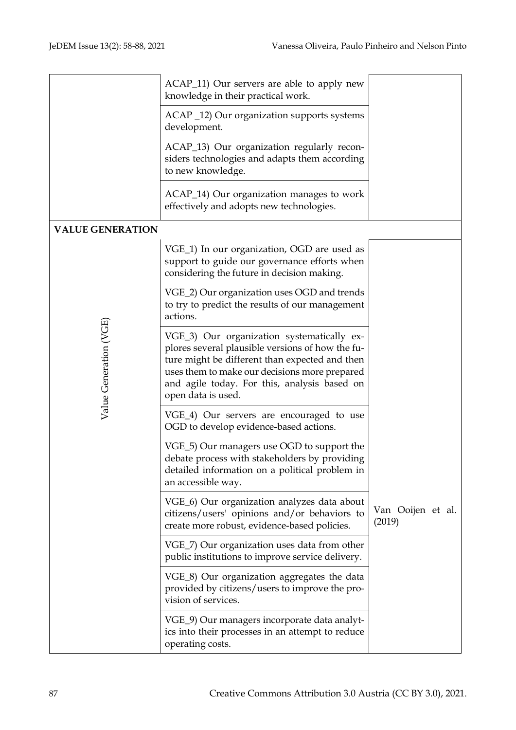|                         | ACAP_11) Our servers are able to apply new<br>knowledge in their practical work.                                                                                                                                                                                        |                             |
|-------------------------|-------------------------------------------------------------------------------------------------------------------------------------------------------------------------------------------------------------------------------------------------------------------------|-----------------------------|
|                         | ACAP _12) Our organization supports systems<br>development.                                                                                                                                                                                                             |                             |
|                         | ACAP_13) Our organization regularly recon-<br>siders technologies and adapts them according<br>to new knowledge.                                                                                                                                                        |                             |
|                         | ACAP_14) Our organization manages to work<br>effectively and adopts new technologies.                                                                                                                                                                                   |                             |
| <b>VALUE GENERATION</b> |                                                                                                                                                                                                                                                                         |                             |
| Value Generation (VGE)  | VGE_1) In our organization, OGD are used as<br>support to guide our governance efforts when<br>considering the future in decision making.                                                                                                                               |                             |
|                         | VGE_2) Our organization uses OGD and trends<br>to try to predict the results of our management<br>actions.                                                                                                                                                              |                             |
|                         | VGE_3) Our organization systematically ex-<br>plores several plausible versions of how the fu-<br>ture might be different than expected and then<br>uses them to make our decisions more prepared<br>and agile today. For this, analysis based on<br>open data is used. |                             |
|                         | VGE_4) Our servers are encouraged to use<br>OGD to develop evidence-based actions.                                                                                                                                                                                      |                             |
|                         | VGE_5) Our managers use OGD to support the<br>debate process with stakeholders by providing<br>detailed information on a political problem in<br>an accessible way.                                                                                                     |                             |
|                         | VGE_6) Our organization analyzes data about<br>citizens/users' opinions and/or behaviors to<br>create more robust, evidence-based policies.                                                                                                                             | Van Ooijen et al.<br>(2019) |
|                         | VGE_7) Our organization uses data from other<br>public institutions to improve service delivery.                                                                                                                                                                        |                             |
|                         | VGE_8) Our organization aggregates the data<br>provided by citizens/users to improve the pro-<br>vision of services.                                                                                                                                                    |                             |
|                         | VGE_9) Our managers incorporate data analyt-<br>ics into their processes in an attempt to reduce<br>operating costs.                                                                                                                                                    |                             |